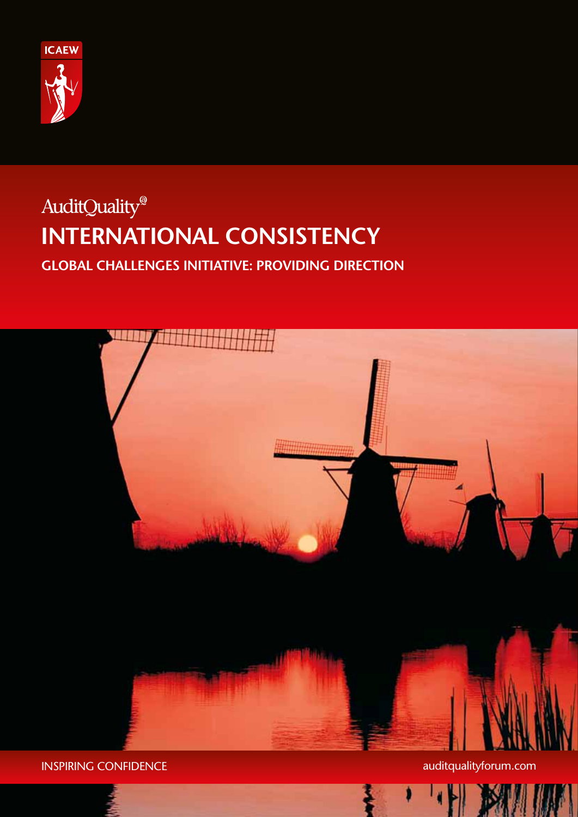

# AuditQuality® **international consistency**

**Global Challenges initiative: Providing Direction**



INSPIRING CONFIDENCE and the state of the state of the state audit qualityforum.com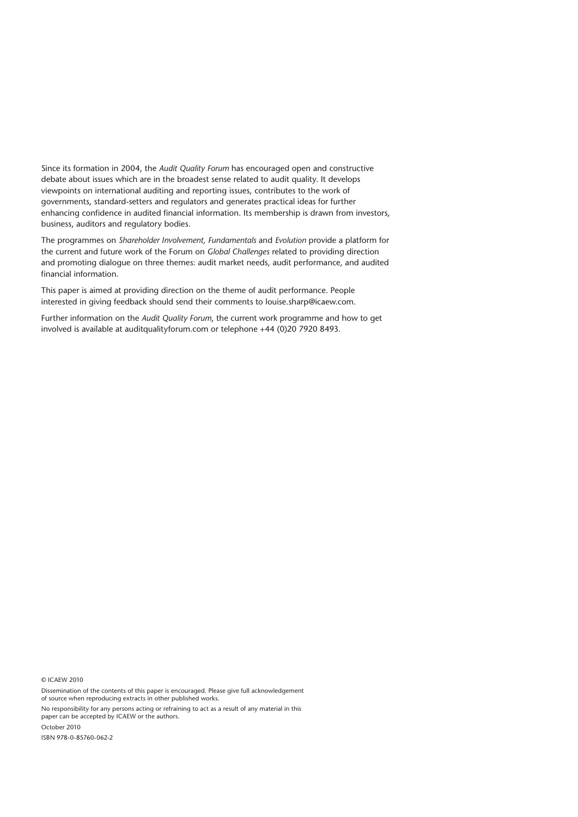Since its formation in 2004, the *Audit Quality Forum* has encouraged open and constructive debate about issues which are in the broadest sense related to audit quality. It develops viewpoints on international auditing and reporting issues, contributes to the work of governments, standard-setters and regulators and generates practical ideas for further enhancing confidence in audited financial information. Its membership is drawn from investors, business, auditors and regulatory bodies.

The programmes on *Shareholder Involvement, Fundamentals* and *Evolution* provide a platform for the current and future work of the Forum on *Global Challenges* related to providing direction and promoting dialogue on three themes: audit market needs, audit performance, and audited financial information.

This paper is aimed at providing direction on the theme of audit performance. People interested in giving feedback should send their comments to louise.sharp@icaew.com.

Further information on the *Audit Quality Forum*, the current work programme and how to get involved is available at auditqualityforum.com or telephone +44 (0)20 7920 8493.

© ICAEW 2010

Dissemination of the contents of this paper is encouraged. Please give full acknowledgement of source when reproducing extracts in other published works.

No responsibility for any persons acting or refraining to act as a result of any material in this paper can be accepted by ICAEW or the authors.

October 2010

ISBN 978-0-85760-062-2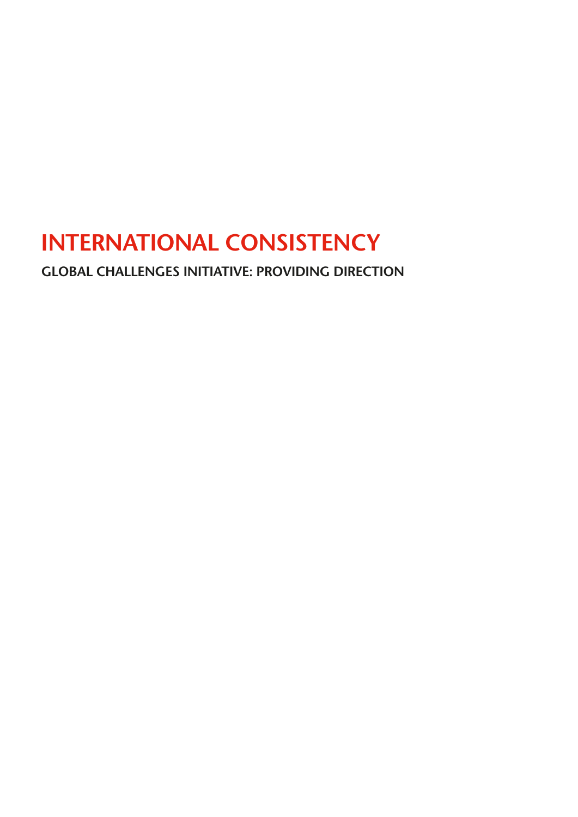# **International Consistency**

**Global Challenges initiative: Providing Direction**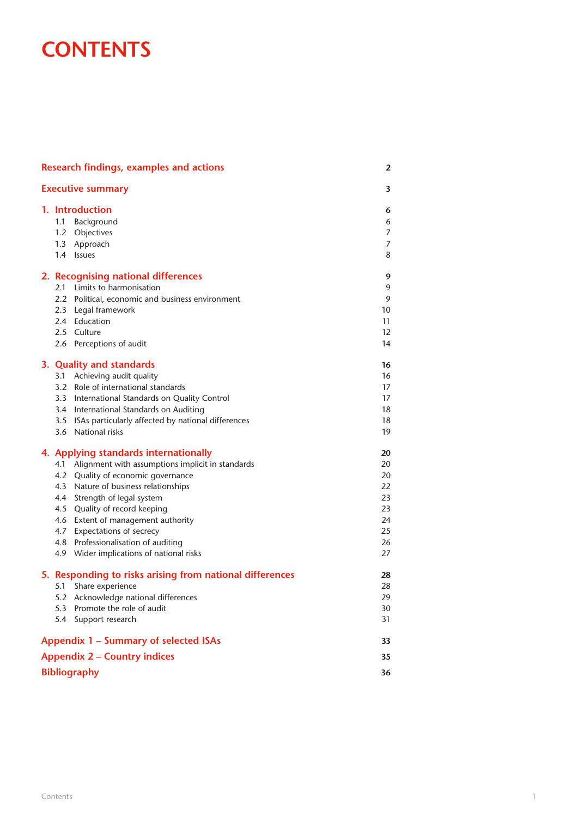## **CONTENTS**

| <b>Research findings, examples and actions</b><br><b>Executive summary</b> |                                                                                                                                                                                                                                                                                                                                                                                                         | 2                                                        |
|----------------------------------------------------------------------------|---------------------------------------------------------------------------------------------------------------------------------------------------------------------------------------------------------------------------------------------------------------------------------------------------------------------------------------------------------------------------------------------------------|----------------------------------------------------------|
|                                                                            |                                                                                                                                                                                                                                                                                                                                                                                                         | 3                                                        |
|                                                                            | 1. Introduction<br>Background<br>1.1<br>1.2 Objectives<br>1.3 Approach<br>1.4 Issues                                                                                                                                                                                                                                                                                                                    | 6<br>6<br>7<br>$\overline{7}$<br>8                       |
|                                                                            | 2. Recognising national differences<br>2.1 Limits to harmonisation<br>2.2 Political, economic and business environment<br>2.3 Legal framework<br>2.4 Education<br>2.5 Culture<br>2.6 Perceptions of audit                                                                                                                                                                                               | 9<br>9<br>9<br>10<br>11<br>12<br>14                      |
|                                                                            | 3. Quality and standards<br>3.1 Achieving audit quality<br>3.2 Role of international standards<br>3.3 International Standards on Quality Control<br>3.4 International Standards on Auditing<br>3.5 ISAs particularly affected by national differences<br>3.6 National risks                                                                                                                             | 16<br>16<br>17<br>17<br>18<br>18<br>19                   |
|                                                                            | 4. Applying standards internationally<br>Alignment with assumptions implicit in standards<br>4.1<br>4.2 Quality of economic governance<br>4.3 Nature of business relationships<br>4.4 Strength of legal system<br>4.5 Quality of record keeping<br>4.6 Extent of management authority<br>4.7 Expectations of secrecy<br>4.8 Professionalisation of auditing<br>4.9 Wider implications of national risks | 20<br>20<br>20<br>22<br>23<br>23<br>24<br>25<br>26<br>27 |
|                                                                            | 5. Responding to risks arising from national differences<br>Share experience<br>5.1<br>5.2 Acknowledge national differences<br>5.3 Promote the role of audit<br>5.4<br>Support research                                                                                                                                                                                                                 | 28<br>28<br>29<br>30<br>31                               |
|                                                                            | <b>Appendix 1 - Summary of selected ISAs</b>                                                                                                                                                                                                                                                                                                                                                            | 33                                                       |
| <b>Appendix 2 - Country indices</b>                                        |                                                                                                                                                                                                                                                                                                                                                                                                         |                                                          |
|                                                                            | <b>Bibliography</b>                                                                                                                                                                                                                                                                                                                                                                                     |                                                          |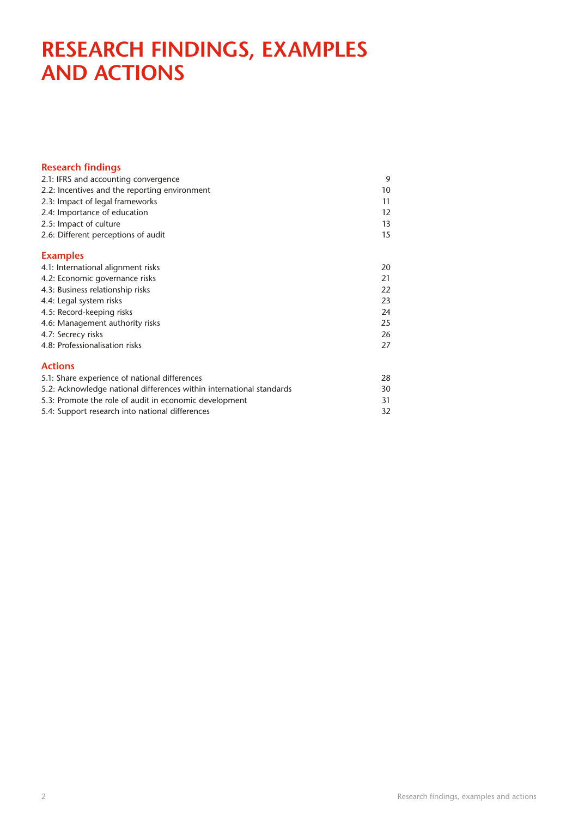## **Research findings, examples and actions**

| <b>Research findings</b>                                             |    |
|----------------------------------------------------------------------|----|
| 2.1: IFRS and accounting convergence                                 |    |
| 2.2: Incentives and the reporting environment                        | 10 |
| 2.3: Impact of legal frameworks                                      | 11 |
| 2.4: Importance of education                                         | 12 |
| 2.5: Impact of culture                                               | 13 |
| 2.6: Different perceptions of audit                                  | 15 |
| <b>Examples</b>                                                      |    |
| 4.1: International alignment risks                                   | 20 |
| 4.2: Economic governance risks                                       | 21 |
| 4.3: Business relationship risks                                     | 22 |
| 4.4: Legal system risks                                              | 23 |
| 4.5: Record-keeping risks                                            | 24 |
| 4.6: Management authority risks                                      | 25 |
| 4.7: Secrecy risks                                                   | 26 |
| 4.8: Professionalisation risks                                       | 27 |
| <b>Actions</b>                                                       |    |
| 5.1: Share experience of national differences                        | 28 |
| 5.2: Acknowledge national differences within international standards | 30 |
| 5.3: Promote the role of audit in economic development               | 31 |
| 5.4: Support research into national differences                      | 32 |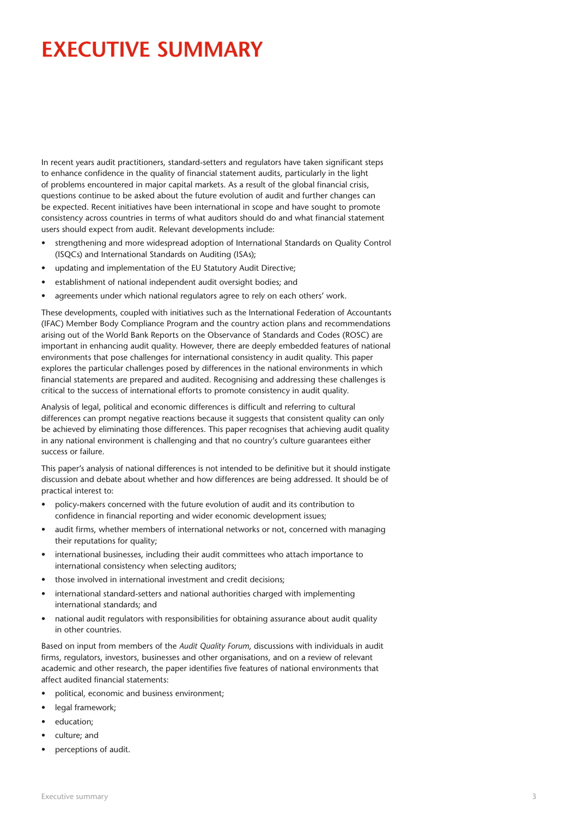## **Executive summary**

In recent years audit practitioners, standard-setters and regulators have taken significant steps to enhance confidence in the quality of financial statement audits, particularly in the light of problems encountered in major capital markets. As a result of the global financial crisis, questions continue to be asked about the future evolution of audit and further changes can be expected. Recent initiatives have been international in scope and have sought to promote consistency across countries in terms of what auditors should do and what financial statement users should expect from audit. Relevant developments include:

- strengthening and more widespread adoption of International Standards on Quality Control (ISQCs) and International Standards on Auditing (ISAs);
- updating and implementation of the EU Statutory Audit Directive;
- establishment of national independent audit oversight bodies; and
- agreements under which national regulators agree to rely on each others' work.

These developments, coupled with initiatives such as the International Federation of Accountants (IFAC) Member Body Compliance Program and the country action plans and recommendations arising out of the World Bank Reports on the Observance of Standards and Codes (ROSC) are important in enhancing audit quality. However, there are deeply embedded features of national environments that pose challenges for international consistency in audit quality. This paper explores the particular challenges posed by differences in the national environments in which financial statements are prepared and audited. Recognising and addressing these challenges is critical to the success of international efforts to promote consistency in audit quality.

Analysis of legal, political and economic differences is difficult and referring to cultural differences can prompt negative reactions because it suggests that consistent quality can only be achieved by eliminating those differences. This paper recognises that achieving audit quality in any national environment is challenging and that no country's culture guarantees either success or failure.

This paper's analysis of national differences is not intended to be definitive but it should instigate discussion and debate about whether and how differences are being addressed. It should be of practical interest to:

- policy-makers concerned with the future evolution of audit and its contribution to confidence in financial reporting and wider economic development issues;
- audit firms, whether members of international networks or not, concerned with managing their reputations for quality;
- international businesses, including their audit committees who attach importance to international consistency when selecting auditors;
- those involved in international investment and credit decisions;
- international standard-setters and national authorities charged with implementing international standards; and
- national audit regulators with responsibilities for obtaining assurance about audit quality in other countries.

Based on input from members of the *Audit Quality Forum*, discussions with individuals in audit firms, regulators, investors, businesses and other organisations, and on a review of relevant academic and other research, the paper identifies five features of national environments that affect audited financial statements:

- political, economic and business environment;
- legal framework;
- education;
- culture; and
- perceptions of audit.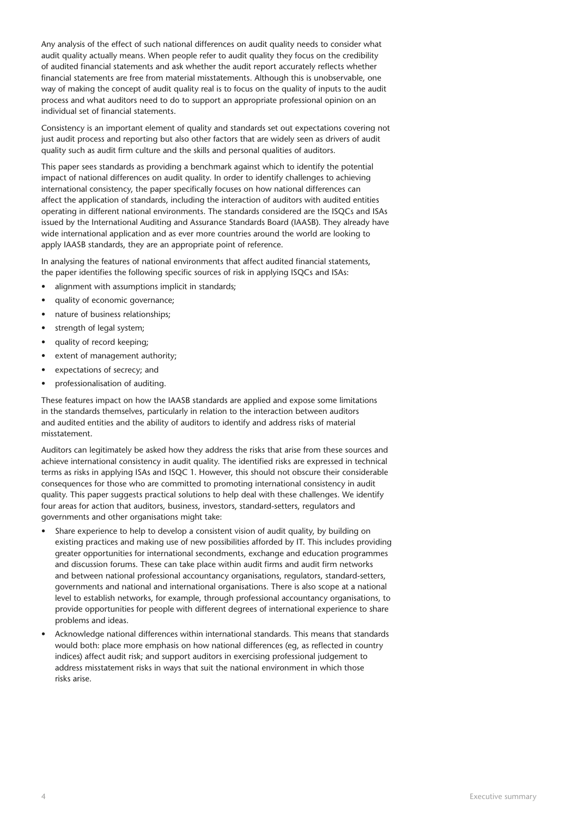Any analysis of the effect of such national differences on audit quality needs to consider what audit quality actually means. When people refer to audit quality they focus on the credibility of audited financial statements and ask whether the audit report accurately reflects whether financial statements are free from material misstatements. Although this is unobservable, one way of making the concept of audit quality real is to focus on the quality of inputs to the audit process and what auditors need to do to support an appropriate professional opinion on an individual set of financial statements.

Consistency is an important element of quality and standards set out expectations covering not just audit process and reporting but also other factors that are widely seen as drivers of audit quality such as audit firm culture and the skills and personal qualities of auditors.

This paper sees standards as providing a benchmark against which to identify the potential impact of national differences on audit quality. In order to identify challenges to achieving international consistency, the paper specifically focuses on how national differences can affect the application of standards, including the interaction of auditors with audited entities operating in different national environments. The standards considered are the ISQCs and ISAs issued by the International Auditing and Assurance Standards Board (IAASB). They already have wide international application and as ever more countries around the world are looking to apply IAASB standards, they are an appropriate point of reference.

In analysing the features of national environments that affect audited financial statements, the paper identifies the following specific sources of risk in applying ISQCs and ISAs:

- alignment with assumptions implicit in standards;
- quality of economic governance;
- nature of business relationships;
- strength of legal system;
- quality of record keeping;
- extent of management authority;
- expectations of secrecy; and
- professionalisation of auditing.

These features impact on how the IAASB standards are applied and expose some limitations in the standards themselves, particularly in relation to the interaction between auditors and audited entities and the ability of auditors to identify and address risks of material misstatement.

Auditors can legitimately be asked how they address the risks that arise from these sources and achieve international consistency in audit quality. The identified risks are expressed in technical terms as risks in applying ISAs and ISQC 1. However, this should not obscure their considerable consequences for those who are committed to promoting international consistency in audit quality. This paper suggests practical solutions to help deal with these challenges. We identify four areas for action that auditors, business, investors, standard-setters, regulators and governments and other organisations might take:

- Share experience to help to develop a consistent vision of audit quality, by building on existing practices and making use of new possibilities afforded by IT. This includes providing greater opportunities for international secondments, exchange and education programmes and discussion forums. These can take place within audit firms and audit firm networks and between national professional accountancy organisations, regulators, standard-setters, governments and national and international organisations. There is also scope at a national level to establish networks, for example, through professional accountancy organisations, to provide opportunities for people with different degrees of international experience to share problems and ideas.
- Acknowledge national differences within international standards. This means that standards would both: place more emphasis on how national differences (eg, as reflected in country indices) affect audit risk; and support auditors in exercising professional judgement to address misstatement risks in ways that suit the national environment in which those risks arise.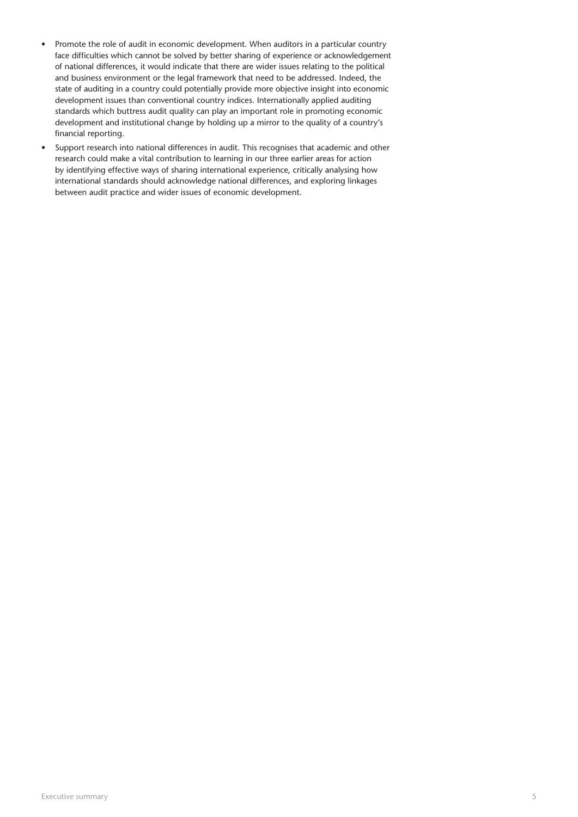- Promote the role of audit in economic development. When auditors in a particular country face difficulties which cannot be solved by better sharing of experience or acknowledgement of national differences, it would indicate that there are wider issues relating to the political and business environment or the legal framework that need to be addressed. Indeed, the state of auditing in a country could potentially provide more objective insight into economic development issues than conventional country indices. Internationally applied auditing standards which buttress audit quality can play an important role in promoting economic development and institutional change by holding up a mirror to the quality of a country's financial reporting.
- Support research into national differences in audit. This recognises that academic and other research could make a vital contribution to learning in our three earlier areas for action by identifying effective ways of sharing international experience, critically analysing how international standards should acknowledge national differences, and exploring linkages between audit practice and wider issues of economic development.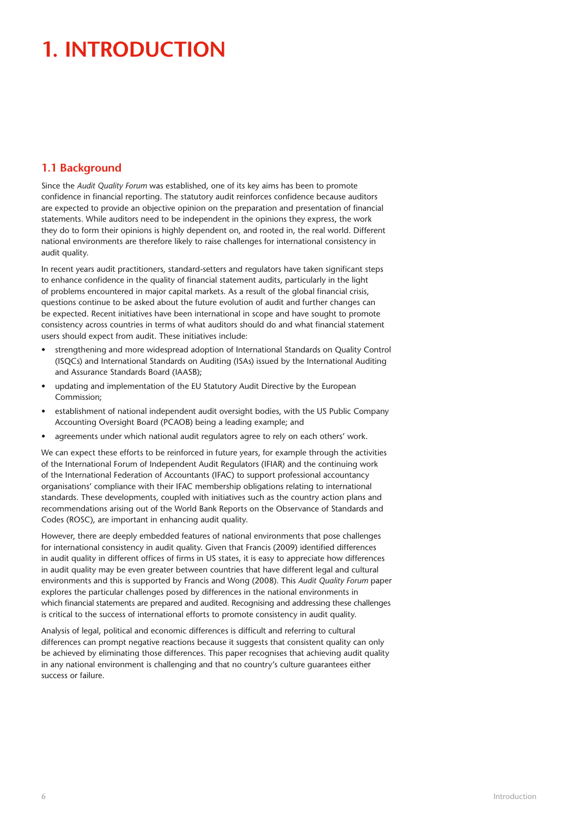# **1. Introduction**

## **1.1 Background**

Since the *Audit Quality Forum* was established, one of its key aims has been to promote confidence in financial reporting. The statutory audit reinforces confidence because auditors are expected to provide an objective opinion on the preparation and presentation of financial statements. While auditors need to be independent in the opinions they express, the work they do to form their opinions is highly dependent on, and rooted in, the real world. Different national environments are therefore likely to raise challenges for international consistency in audit quality.

In recent years audit practitioners, standard-setters and regulators have taken significant steps to enhance confidence in the quality of financial statement audits, particularly in the light of problems encountered in major capital markets. As a result of the global financial crisis, questions continue to be asked about the future evolution of audit and further changes can be expected. Recent initiatives have been international in scope and have sought to promote consistency across countries in terms of what auditors should do and what financial statement users should expect from audit. These initiatives include:

- strengthening and more widespread adoption of International Standards on Quality Control (ISQCs) and International Standards on Auditing (ISAs) issued by the International Auditing and Assurance Standards Board (IAASB);
- updating and implementation of the EU Statutory Audit Directive by the European Commission;
- establishment of national independent audit oversight bodies, with the US Public Company Accounting Oversight Board (PCAOB) being a leading example; and
- agreements under which national audit regulators agree to rely on each others' work.

We can expect these efforts to be reinforced in future years, for example through the activities of the International Forum of Independent Audit Regulators (IFIAR) and the continuing work of the International Federation of Accountants (IFAC) to support professional accountancy organisations' compliance with their IFAC membership obligations relating to international standards. These developments, coupled with initiatives such as the country action plans and recommendations arising out of the World Bank Reports on the Observance of Standards and Codes (ROSC), are important in enhancing audit quality.

However, there are deeply embedded features of national environments that pose challenges for international consistency in audit quality. Given that Francis (2009) identified differences in audit quality in different offices of firms in US states, it is easy to appreciate how differences in audit quality may be even greater between countries that have different legal and cultural environments and this is supported by Francis and Wong (2008). This *Audit Quality Forum* paper explores the particular challenges posed by differences in the national environments in which financial statements are prepared and audited. Recognising and addressing these challenges is critical to the success of international efforts to promote consistency in audit quality.

Analysis of legal, political and economic differences is difficult and referring to cultural differences can prompt negative reactions because it suggests that consistent quality can only be achieved by eliminating those differences. This paper recognises that achieving audit quality in any national environment is challenging and that no country's culture guarantees either success or failure.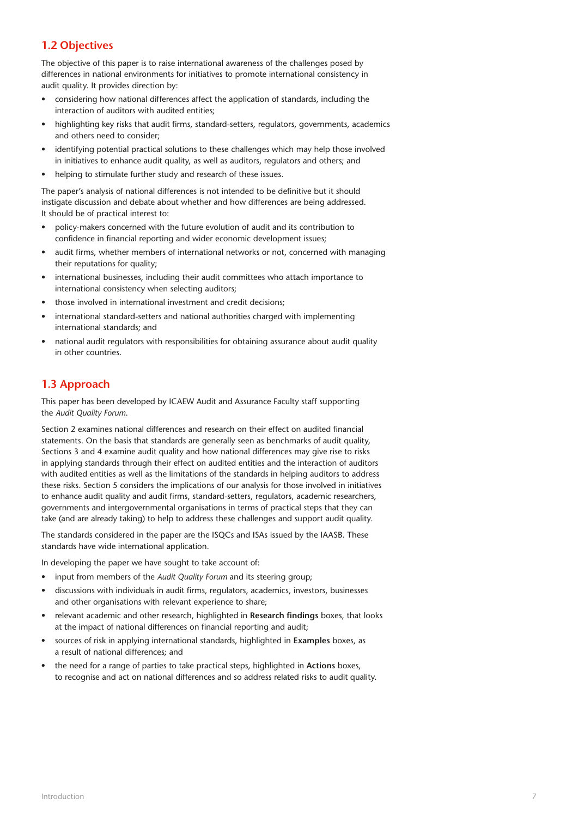## **1.2 Objectives**

The objective of this paper is to raise international awareness of the challenges posed by differences in national environments for initiatives to promote international consistency in audit quality. It provides direction by:

- considering how national differences affect the application of standards, including the interaction of auditors with audited entities;
- highlighting key risks that audit firms, standard-setters, regulators, governments, academics and others need to consider;
- identifying potential practical solutions to these challenges which may help those involved in initiatives to enhance audit quality, as well as auditors, regulators and others; and
- helping to stimulate further study and research of these issues.

The paper's analysis of national differences is not intended to be definitive but it should instigate discussion and debate about whether and how differences are being addressed. It should be of practical interest to:

- policy-makers concerned with the future evolution of audit and its contribution to confidence in financial reporting and wider economic development issues;
- audit firms, whether members of international networks or not, concerned with managing their reputations for quality;
- international businesses, including their audit committees who attach importance to international consistency when selecting auditors;
- those involved in international investment and credit decisions;
- international standard-setters and national authorities charged with implementing international standards; and
- national audit regulators with responsibilities for obtaining assurance about audit quality in other countries.

## **1.3 Approach**

This paper has been developed by ICAEW Audit and Assurance Faculty staff supporting the *Audit Quality Forum*.

Section 2 examines national differences and research on their effect on audited financial statements. On the basis that standards are generally seen as benchmarks of audit quality, Sections 3 and 4 examine audit quality and how national differences may give rise to risks in applying standards through their effect on audited entities and the interaction of auditors with audited entities as well as the limitations of the standards in helping auditors to address these risks. Section 5 considers the implications of our analysis for those involved in initiatives to enhance audit quality and audit firms, standard-setters, regulators, academic researchers, governments and intergovernmental organisations in terms of practical steps that they can take (and are already taking) to help to address these challenges and support audit quality.

The standards considered in the paper are the ISQCs and ISAs issued by the IAASB. These standards have wide international application.

In developing the paper we have sought to take account of:

- input from members of the *Audit Quality Forum* and its steering group;
- discussions with individuals in audit firms, regulators, academics, investors, businesses and other organisations with relevant experience to share;
- relevant academic and other research, highlighted in **Research findings** boxes, that looks at the impact of national differences on financial reporting and audit;
- sources of risk in applying international standards, highlighted in **Examples** boxes, as a result of national differences; and
- the need for a range of parties to take practical steps, highlighted in **Actions** boxes, to recognise and act on national differences and so address related risks to audit quality.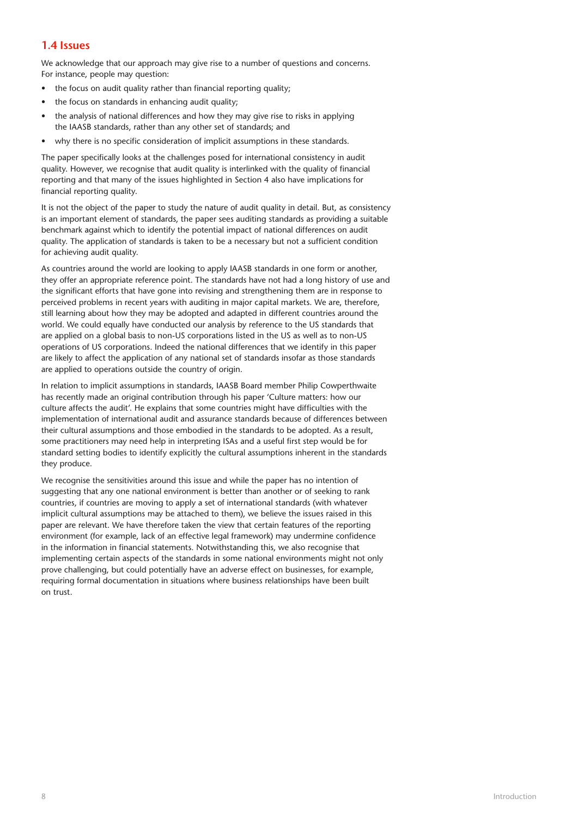## **1.4 Issues**

We acknowledge that our approach may give rise to a number of questions and concerns. For instance, people may question:

- the focus on audit quality rather than financial reporting quality;
- the focus on standards in enhancing audit quality;
- the analysis of national differences and how they may give rise to risks in applying the IAASB standards, rather than any other set of standards; and
- why there is no specific consideration of implicit assumptions in these standards.

The paper specifically looks at the challenges posed for international consistency in audit quality. However, we recognise that audit quality is interlinked with the quality of financial reporting and that many of the issues highlighted in Section 4 also have implications for financial reporting quality.

It is not the object of the paper to study the nature of audit quality in detail. But, as consistency is an important element of standards, the paper sees auditing standards as providing a suitable benchmark against which to identify the potential impact of national differences on audit quality. The application of standards is taken to be a necessary but not a sufficient condition for achieving audit quality.

As countries around the world are looking to apply IAASB standards in one form or another, they offer an appropriate reference point. The standards have not had a long history of use and the significant efforts that have gone into revising and strengthening them are in response to perceived problems in recent years with auditing in major capital markets. We are, therefore, still learning about how they may be adopted and adapted in different countries around the world. We could equally have conducted our analysis by reference to the US standards that are applied on a global basis to non-US corporations listed in the US as well as to non-US operations of US corporations. Indeed the national differences that we identify in this paper are likely to affect the application of any national set of standards insofar as those standards are applied to operations outside the country of origin.

In relation to implicit assumptions in standards, IAASB Board member Philip Cowperthwaite has recently made an original contribution through his paper 'Culture matters: how our culture affects the audit'. He explains that some countries might have difficulties with the implementation of international audit and assurance standards because of differences between their cultural assumptions and those embodied in the standards to be adopted. As a result, some practitioners may need help in interpreting ISAs and a useful first step would be for standard setting bodies to identify explicitly the cultural assumptions inherent in the standards they produce.

We recognise the sensitivities around this issue and while the paper has no intention of suggesting that any one national environment is better than another or of seeking to rank countries, if countries are moving to apply a set of international standards (with whatever implicit cultural assumptions may be attached to them), we believe the issues raised in this paper are relevant. We have therefore taken the view that certain features of the reporting environment (for example, lack of an effective legal framework) may undermine confidence in the information in financial statements. Notwithstanding this, we also recognise that implementing certain aspects of the standards in some national environments might not only prove challenging, but could potentially have an adverse effect on businesses, for example, requiring formal documentation in situations where business relationships have been built on trust.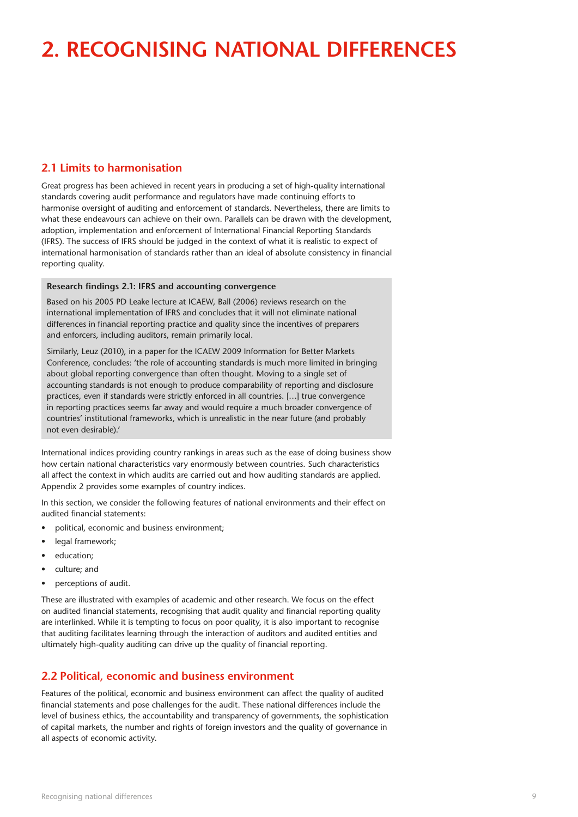# **2. Recognising national differences**

## **2.1 Limits to harmonisation**

Great progress has been achieved in recent years in producing a set of high-quality international standards covering audit performance and regulators have made continuing efforts to harmonise oversight of auditing and enforcement of standards. Nevertheless, there are limits to what these endeavours can achieve on their own. Parallels can be drawn with the development, adoption, implementation and enforcement of International Financial Reporting Standards (IFRS). The success of IFRS should be judged in the context of what it is realistic to expect of international harmonisation of standards rather than an ideal of absolute consistency in financial reporting quality.

#### **Research findings 2.1: IFRS and accounting convergence**

Based on his 2005 PD Leake lecture at ICAEW, Ball (2006) reviews research on the international implementation of IFRS and concludes that it will not eliminate national differences in financial reporting practice and quality since the incentives of preparers and enforcers, including auditors, remain primarily local.

Similarly, Leuz (2010), in a paper for the ICAEW 2009 Information for Better Markets Conference, concludes: 'the role of accounting standards is much more limited in bringing about global reporting convergence than often thought. Moving to a single set of accounting standards is not enough to produce comparability of reporting and disclosure practices, even if standards were strictly enforced in all countries. […] true convergence in reporting practices seems far away and would require a much broader convergence of countries' institutional frameworks, which is unrealistic in the near future (and probably not even desirable).'

International indices providing country rankings in areas such as the ease of doing business show how certain national characteristics vary enormously between countries. Such characteristics all affect the context in which audits are carried out and how auditing standards are applied. Appendix 2 provides some examples of country indices.

In this section, we consider the following features of national environments and their effect on audited financial statements:

- political, economic and business environment;
- legal framework;
- education;
- culture; and
- perceptions of audit.

These are illustrated with examples of academic and other research. We focus on the effect on audited financial statements, recognising that audit quality and financial reporting quality are interlinked. While it is tempting to focus on poor quality, it is also important to recognise that auditing facilitates learning through the interaction of auditors and audited entities and ultimately high-quality auditing can drive up the quality of financial reporting.

## **2.2 Political, economic and business environment**

Features of the political, economic and business environment can affect the quality of audited financial statements and pose challenges for the audit. These national differences include the level of business ethics, the accountability and transparency of governments, the sophistication of capital markets, the number and rights of foreign investors and the quality of governance in all aspects of economic activity.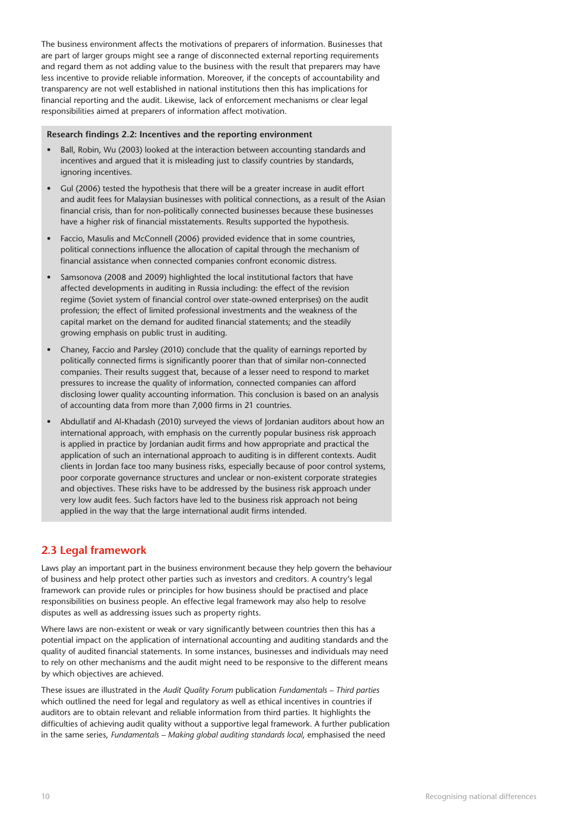The business environment affects the motivations of preparers of information. Businesses that are part of larger groups might see a range of disconnected external reporting requirements and regard them as not adding value to the business with the result that preparers may have less incentive to provide reliable information. Moreover, if the concepts of accountability and transparency are not well established in national institutions then this has implications for financial reporting and the audit. Likewise, lack of enforcement mechanisms or clear legal responsibilities aimed at preparers of information affect motivation.

#### **Research findings 2.2: Incentives and the reporting environment**

- Ball, Robin, Wu (2003) looked at the interaction between accounting standards and incentives and argued that it is misleading just to classify countries by standards, ignoring incentives.
- Gul (2006) tested the hypothesis that there will be a greater increase in audit effort and audit fees for Malaysian businesses with political connections, as a result of the Asian financial crisis, than for non-politically connected businesses because these businesses have a higher risk of financial misstatements. Results supported the hypothesis.
- Faccio, Masulis and McConnell (2006) provided evidence that in some countries, political connections influence the allocation of capital through the mechanism of financial assistance when connected companies confront economic distress.
- Samsonova (2008 and 2009) highlighted the local institutional factors that have affected developments in auditing in Russia including: the effect of the revision regime (Soviet system of financial control over state-owned enterprises) on the audit profession; the effect of limited professional investments and the weakness of the capital market on the demand for audited financial statements; and the steadily growing emphasis on public trust in auditing.
- Chaney, Faccio and Parsley (2010) conclude that the quality of earnings reported by politically connected firms is significantly poorer than that of similar non-connected companies. Their results suggest that, because of a lesser need to respond to market pressures to increase the quality of information, connected companies can afford disclosing lower quality accounting information. This conclusion is based on an analysis of accounting data from more than 7,000 firms in 21 countries.
- Abdullatif and Al-Khadash (2010) surveyed the views of Jordanian auditors about how an international approach, with emphasis on the currently popular business risk approach is applied in practice by Jordanian audit firms and how appropriate and practical the application of such an international approach to auditing is in different contexts. Audit clients in Jordan face too many business risks, especially because of poor control systems, poor corporate governance structures and unclear or non-existent corporate strategies and objectives. These risks have to be addressed by the business risk approach under very low audit fees. Such factors have led to the business risk approach not being applied in the way that the large international audit firms intended.

### **2.3 Legal framework**

Laws play an important part in the business environment because they help govern the behaviour of business and help protect other parties such as investors and creditors. A country's legal framework can provide rules or principles for how business should be practised and place responsibilities on business people. An effective legal framework may also help to resolve disputes as well as addressing issues such as property rights.

Where laws are non-existent or weak or vary significantly between countries then this has a potential impact on the application of international accounting and auditing standards and the quality of audited financial statements. In some instances, businesses and individuals may need to rely on other mechanisms and the audit might need to be responsive to the different means by which objectives are achieved.

These issues are illustrated in the *Audit Quality Forum* publication *Fundamentals – Third parties*  which outlined the need for legal and regulatory as well as ethical incentives in countries if auditors are to obtain relevant and reliable information from third parties. It highlights the difficulties of achieving audit quality without a supportive legal framework. A further publication in the same series, *Fundamentals – Making global auditing standards local*, emphasised the need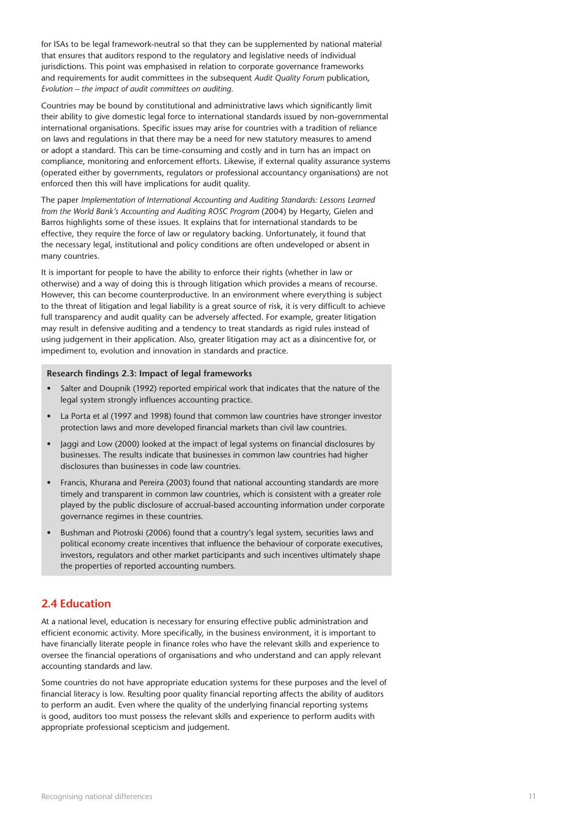for ISAs to be legal framework-neutral so that they can be supplemented by national material that ensures that auditors respond to the regulatory and legislative needs of individual jurisdictions. This point was emphasised in relation to corporate governance frameworks and requirements for audit committees in the subsequent *Audit Quality Forum* publication, *Evolution – the impact of audit committees on auditing*.

Countries may be bound by constitutional and administrative laws which significantly limit their ability to give domestic legal force to international standards issued by non-governmental international organisations. Specific issues may arise for countries with a tradition of reliance on laws and regulations in that there may be a need for new statutory measures to amend or adopt a standard. This can be time-consuming and costly and in turn has an impact on compliance, monitoring and enforcement efforts. Likewise, if external quality assurance systems (operated either by governments, regulators or professional accountancy organisations) are not enforced then this will have implications for audit quality.

The paper *Implementation of International Accounting and Auditing Standards: Lessons Learned from the World Bank's Accounting and Auditing ROSC Program* (2004) by Hegarty, Gielen and Barros highlights some of these issues. It explains that for international standards to be effective, they require the force of law or regulatory backing. Unfortunately, it found that the necessary legal, institutional and policy conditions are often undeveloped or absent in many countries.

It is important for people to have the ability to enforce their rights (whether in law or otherwise) and a way of doing this is through litigation which provides a means of recourse. However, this can become counterproductive. In an environment where everything is subject to the threat of litigation and legal liability is a great source of risk, it is very difficult to achieve full transparency and audit quality can be adversely affected. For example, greater litigation may result in defensive auditing and a tendency to treat standards as rigid rules instead of using judgement in their application. Also, greater litigation may act as a disincentive for, or impediment to, evolution and innovation in standards and practice.

#### **Research findings 2.3: Impact of legal frameworks**

- Salter and Doupnik (1992) reported empirical work that indicates that the nature of the legal system strongly influences accounting practice.
- La Porta et al (1997 and 1998) found that common law countries have stronger investor protection laws and more developed financial markets than civil law countries.
- Jaggi and Low (2000) looked at the impact of legal systems on financial disclosures by businesses. The results indicate that businesses in common law countries had higher disclosures than businesses in code law countries.
- Francis, Khurana and Pereira (2003) found that national accounting standards are more timely and transparent in common law countries, which is consistent with a greater role played by the public disclosure of accrual-based accounting information under corporate governance regimes in these countries.
- Bushman and Piotroski (2006) found that a country's legal system, securities laws and political economy create incentives that influence the behaviour of corporate executives, investors, regulators and other market participants and such incentives ultimately shape the properties of reported accounting numbers.

### **2.4 Education**

At a national level, education is necessary for ensuring effective public administration and efficient economic activity. More specifically, in the business environment, it is important to have financially literate people in finance roles who have the relevant skills and experience to oversee the financial operations of organisations and who understand and can apply relevant accounting standards and law.

Some countries do not have appropriate education systems for these purposes and the level of financial literacy is low. Resulting poor quality financial reporting affects the ability of auditors to perform an audit. Even where the quality of the underlying financial reporting systems is good, auditors too must possess the relevant skills and experience to perform audits with appropriate professional scepticism and judgement.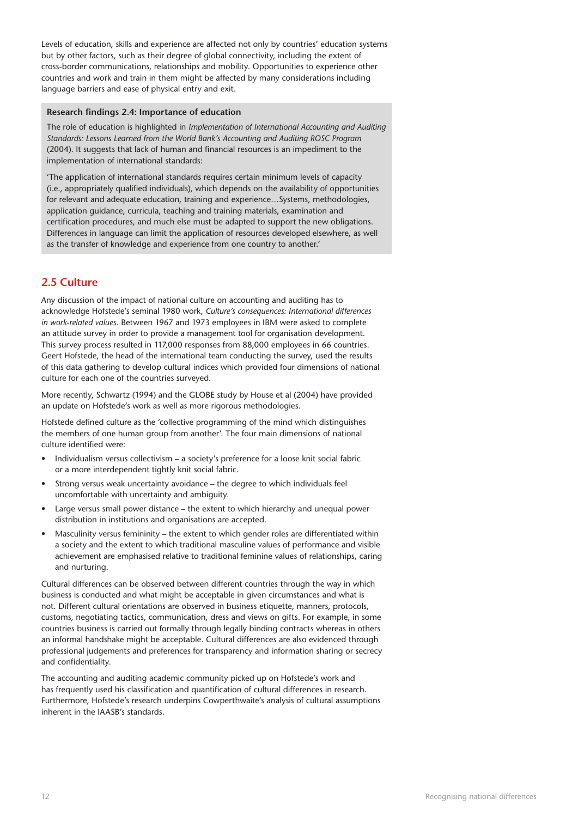Levels of education, skills and experience are affected not only by countries' education systems but by other factors, such as their degree of global connectivity, including the extent of cross-border communications, relationships and mobility. Opportunities to experience other countries and work and train in them might be affected by many considerations including language barriers and ease of physical entry and exit.

#### **Research findings 2.4: Importance of education**

The role of education is highlighted in *Implementation of International Accounting and Auditing Standards: Lessons Learned from the World Bank's Accounting and Auditing ROSC Program* (2004). It suggests that lack of human and financial resources is an impediment to the implementation of international standards:

'The application of international standards requires certain minimum levels of capacity (i.e., appropriately qualified individuals), which depends on the availability of opportunities for relevant and adequate education, training and experience…Systems, methodologies, application guidance, curricula, teaching and training materials, examination and certification procedures, and much else must be adapted to support the new obligations. Differences in language can limit the application of resources developed elsewhere, as well as the transfer of knowledge and experience from one country to another.'

### **2.5 Culture**

Any discussion of the impact of national culture on accounting and auditing has to acknowledge Hofstede's seminal 1980 work, *Culture's consequences: International differences in work-related values*. Between 1967 and 1973 employees in IBM were asked to complete an attitude survey in order to provide a management tool for organisation development. This survey process resulted in 117,000 responses from 88,000 employees in 66 countries. Geert Hofstede, the head of the international team conducting the survey, used the results of this data gathering to develop cultural indices which provided four dimensions of national culture for each one of the countries surveyed.

More recently, Schwartz (1994) and the GLOBE study by House et al (2004) have provided an update on Hofstede's work as well as more rigorous methodologies.

Hofstede defined culture as the 'collective programming of the mind which distinguishes the members of one human group from another'. The four main dimensions of national culture identified were:

- Individualism versus collectivism a society's preference for a loose knit social fabric or a more interdependent tightly knit social fabric.
- Strong versus weak uncertainty avoidance the degree to which individuals feel uncomfortable with uncertainty and ambiguity.
- Large versus small power distance the extent to which hierarchy and unequal power distribution in institutions and organisations are accepted.
- Masculinity versus femininity the extent to which gender roles are differentiated within a society and the extent to which traditional masculine values of performance and visible achievement are emphasised relative to traditional feminine values of relationships, caring and nurturing.

Cultural differences can be observed between different countries through the way in which business is conducted and what might be acceptable in given circumstances and what is not. Different cultural orientations are observed in business etiquette, manners, protocols, customs, negotiating tactics, communication, dress and views on gifts. For example, in some countries business is carried out formally through legally binding contracts whereas in others an informal handshake might be acceptable. Cultural differences are also evidenced through professional judgements and preferences for transparency and information sharing or secrecy and confidentiality.

The accounting and auditing academic community picked up on Hofstede's work and has frequently used his classification and quantification of cultural differences in research. Furthermore, Hofstede's research underpins Cowperthwaite's analysis of cultural assumptions inherent in the IAASB's standards.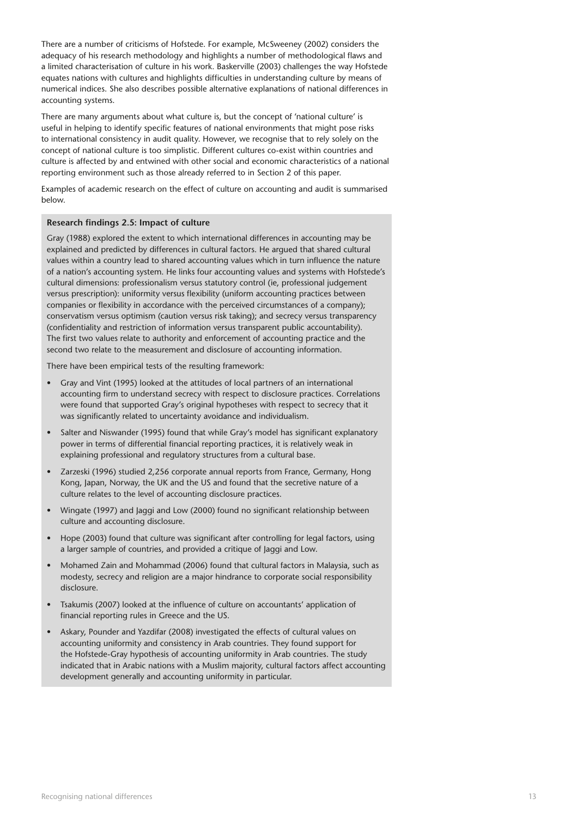There are a number of criticisms of Hofstede. For example, McSweeney (2002) considers the adequacy of his research methodology and highlights a number of methodological flaws and a limited characterisation of culture in his work. Baskerville (2003) challenges the way Hofstede equates nations with cultures and highlights difficulties in understanding culture by means of numerical indices. She also describes possible alternative explanations of national differences in accounting systems.

There are many arguments about what culture is, but the concept of 'national culture' is useful in helping to identify specific features of national environments that might pose risks to international consistency in audit quality. However, we recognise that to rely solely on the concept of national culture is too simplistic. Different cultures co-exist within countries and culture is affected by and entwined with other social and economic characteristics of a national reporting environment such as those already referred to in Section 2 of this paper.

Examples of academic research on the effect of culture on accounting and audit is summarised below.

#### **Research findings 2.5: Impact of culture**

Gray (1988) explored the extent to which international differences in accounting may be explained and predicted by differences in cultural factors. He argued that shared cultural values within a country lead to shared accounting values which in turn influence the nature of a nation's accounting system. He links four accounting values and systems with Hofstede's cultural dimensions: professionalism versus statutory control (ie, professional judgement versus prescription): uniformity versus flexibility (uniform accounting practices between companies or flexibility in accordance with the perceived circumstances of a company); conservatism versus optimism (caution versus risk taking); and secrecy versus transparency (confidentiality and restriction of information versus transparent public accountability). The first two values relate to authority and enforcement of accounting practice and the second two relate to the measurement and disclosure of accounting information.

There have been empirical tests of the resulting framework:

- Gray and Vint (1995) looked at the attitudes of local partners of an international accounting firm to understand secrecy with respect to disclosure practices. Correlations were found that supported Gray's original hypotheses with respect to secrecy that it was significantly related to uncertainty avoidance and individualism.
- Salter and Niswander (1995) found that while Gray's model has significant explanatory power in terms of differential financial reporting practices, it is relatively weak in explaining professional and regulatory structures from a cultural base.
- Zarzeski (1996) studied 2,256 corporate annual reports from France, Germany, Hong Kong, Japan, Norway, the UK and the US and found that the secretive nature of a culture relates to the level of accounting disclosure practices.
- Wingate (1997) and Jaggi and Low (2000) found no significant relationship between culture and accounting disclosure.
- Hope (2003) found that culture was significant after controlling for legal factors, using a larger sample of countries, and provided a critique of Jaggi and Low.
- Mohamed Zain and Mohammad (2006) found that cultural factors in Malaysia, such as modesty, secrecy and religion are a major hindrance to corporate social responsibility disclosure.
- Tsakumis (2007) looked at the influence of culture on accountants' application of financial reporting rules in Greece and the US.
- Askary, Pounder and Yazdifar (2008) investigated the effects of cultural values on accounting uniformity and consistency in Arab countries. They found support for the Hofstede-Gray hypothesis of accounting uniformity in Arab countries. The study indicated that in Arabic nations with a Muslim majority, cultural factors affect accounting development generally and accounting uniformity in particular.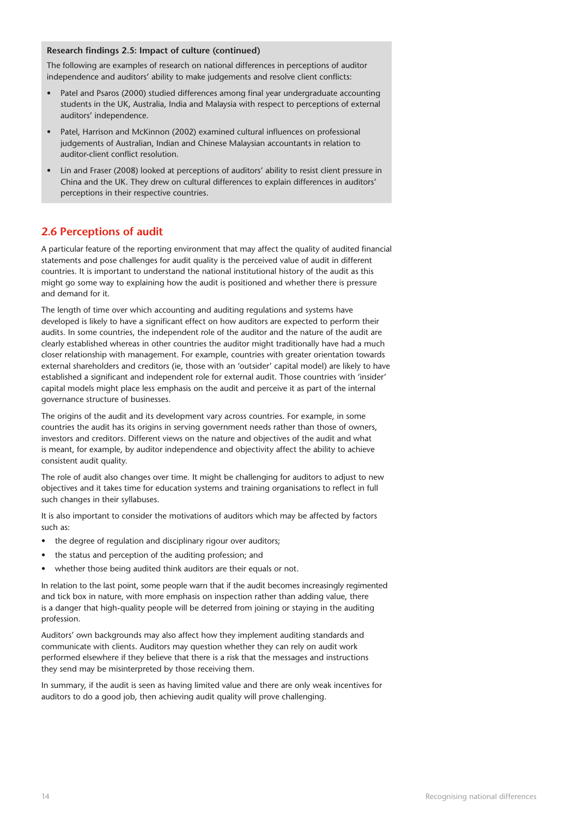#### **Research findings 2.5: Impact of culture (continued)**

The following are examples of research on national differences in perceptions of auditor independence and auditors' ability to make judgements and resolve client conflicts:

- Patel and Psaros (2000) studied differences among final year undergraduate accounting students in the UK, Australia, India and Malaysia with respect to perceptions of external auditors' independence.
- Patel, Harrison and McKinnon (2002) examined cultural influences on professional judgements of Australian, Indian and Chinese Malaysian accountants in relation to auditor-client conflict resolution.
- Lin and Fraser (2008) looked at perceptions of auditors' ability to resist client pressure in China and the UK. They drew on cultural differences to explain differences in auditors' perceptions in their respective countries.

## **2.6 Perceptions of audit**

A particular feature of the reporting environment that may affect the quality of audited financial statements and pose challenges for audit quality is the perceived value of audit in different countries. It is important to understand the national institutional history of the audit as this might go some way to explaining how the audit is positioned and whether there is pressure and demand for it.

The length of time over which accounting and auditing regulations and systems have developed is likely to have a significant effect on how auditors are expected to perform their audits. In some countries, the independent role of the auditor and the nature of the audit are clearly established whereas in other countries the auditor might traditionally have had a much closer relationship with management. For example, countries with greater orientation towards external shareholders and creditors (ie, those with an 'outsider' capital model) are likely to have established a significant and independent role for external audit. Those countries with 'insider' capital models might place less emphasis on the audit and perceive it as part of the internal governance structure of businesses.

The origins of the audit and its development vary across countries. For example, in some countries the audit has its origins in serving government needs rather than those of owners, investors and creditors. Different views on the nature and objectives of the audit and what is meant, for example, by auditor independence and objectivity affect the ability to achieve consistent audit quality.

The role of audit also changes over time. It might be challenging for auditors to adjust to new objectives and it takes time for education systems and training organisations to reflect in full such changes in their syllabuses.

It is also important to consider the motivations of auditors which may be affected by factors such as:

- the degree of regulation and disciplinary rigour over auditors;
- the status and perception of the auditing profession; and
- whether those being audited think auditors are their equals or not.

In relation to the last point, some people warn that if the audit becomes increasingly regimented and tick box in nature, with more emphasis on inspection rather than adding value, there is a danger that high-quality people will be deterred from joining or staying in the auditing profession.

Auditors' own backgrounds may also affect how they implement auditing standards and communicate with clients. Auditors may question whether they can rely on audit work performed elsewhere if they believe that there is a risk that the messages and instructions they send may be misinterpreted by those receiving them.

In summary, if the audit is seen as having limited value and there are only weak incentives for auditors to do a good job, then achieving audit quality will prove challenging.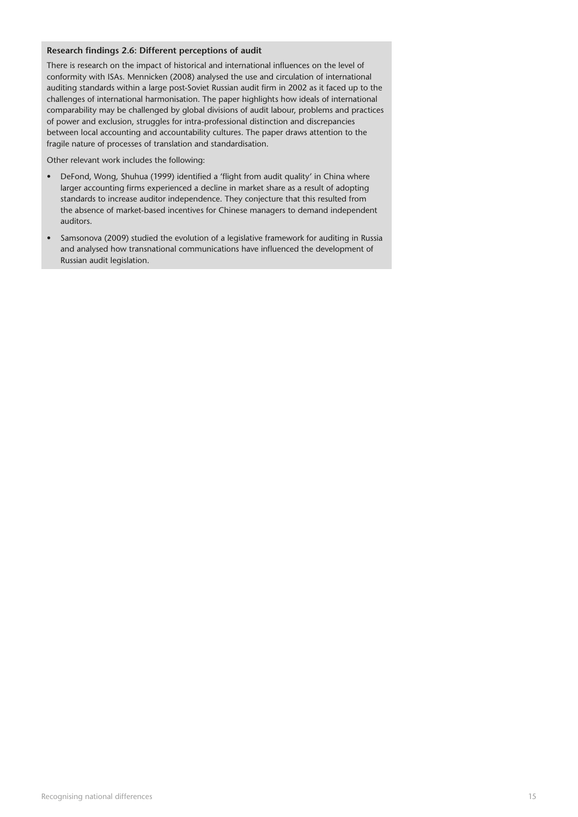#### **Research findings 2.6: Different perceptions of audit**

There is research on the impact of historical and international influences on the level of conformity with ISAs. Mennicken (2008) analysed the use and circulation of international auditing standards within a large post-Soviet Russian audit firm in 2002 as it faced up to the challenges of international harmonisation. The paper highlights how ideals of international comparability may be challenged by global divisions of audit labour, problems and practices of power and exclusion, struggles for intra-professional distinction and discrepancies between local accounting and accountability cultures. The paper draws attention to the fragile nature of processes of translation and standardisation.

Other relevant work includes the following:

- DeFond, Wong, Shuhua (1999) identified a 'flight from audit quality' in China where larger accounting firms experienced a decline in market share as a result of adopting standards to increase auditor independence. They conjecture that this resulted from the absence of market-based incentives for Chinese managers to demand independent auditors.
- Samsonova (2009) studied the evolution of a legislative framework for auditing in Russia and analysed how transnational communications have influenced the development of Russian audit legislation.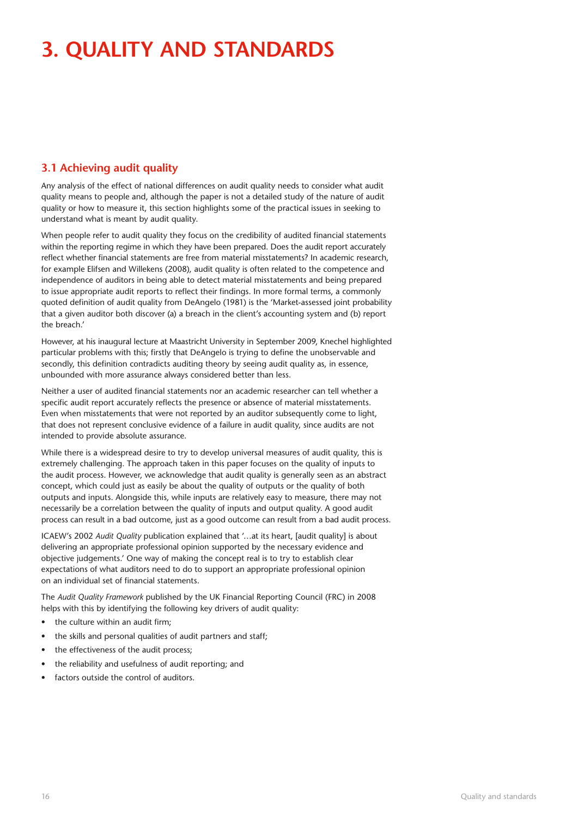# **3. Quality and standards**

## **3.1 Achieving audit quality**

Any analysis of the effect of national differences on audit quality needs to consider what audit quality means to people and, although the paper is not a detailed study of the nature of audit quality or how to measure it, this section highlights some of the practical issues in seeking to understand what is meant by audit quality.

When people refer to audit quality they focus on the credibility of audited financial statements within the reporting regime in which they have been prepared. Does the audit report accurately reflect whether financial statements are free from material misstatements? In academic research, for example Elifsen and Willekens (2008), audit quality is often related to the competence and independence of auditors in being able to detect material misstatements and being prepared to issue appropriate audit reports to reflect their findings. In more formal terms, a commonly quoted definition of audit quality from DeAngelo (1981) is the 'Market-assessed joint probability that a given auditor both discover (a) a breach in the client's accounting system and (b) report the breach.'

However, at his inaugural lecture at Maastricht University in September 2009, Knechel highlighted particular problems with this; firstly that DeAngelo is trying to define the unobservable and secondly, this definition contradicts auditing theory by seeing audit quality as, in essence, unbounded with more assurance always considered better than less.

Neither a user of audited financial statements nor an academic researcher can tell whether a specific audit report accurately reflects the presence or absence of material misstatements. Even when misstatements that were not reported by an auditor subsequently come to light, that does not represent conclusive evidence of a failure in audit quality, since audits are not intended to provide absolute assurance.

While there is a widespread desire to try to develop universal measures of audit quality, this is extremely challenging. The approach taken in this paper focuses on the quality of inputs to the audit process. However, we acknowledge that audit quality is generally seen as an abstract concept, which could just as easily be about the quality of outputs or the quality of both outputs and inputs. Alongside this, while inputs are relatively easy to measure, there may not necessarily be a correlation between the quality of inputs and output quality. A good audit process can result in a bad outcome, just as a good outcome can result from a bad audit process.

ICAEW's 2002 *Audit Quality* publication explained that '…at its heart, [audit quality] is about delivering an appropriate professional opinion supported by the necessary evidence and objective judgements.' One way of making the concept real is to try to establish clear expectations of what auditors need to do to support an appropriate professional opinion on an individual set of financial statements.

The *Audit Quality Framework* published by the UK Financial Reporting Council (FRC) in 2008 helps with this by identifying the following key drivers of audit quality:

- the culture within an audit firm;
- the skills and personal qualities of audit partners and staff;
- the effectiveness of the audit process;
- the reliability and usefulness of audit reporting; and
- factors outside the control of auditors.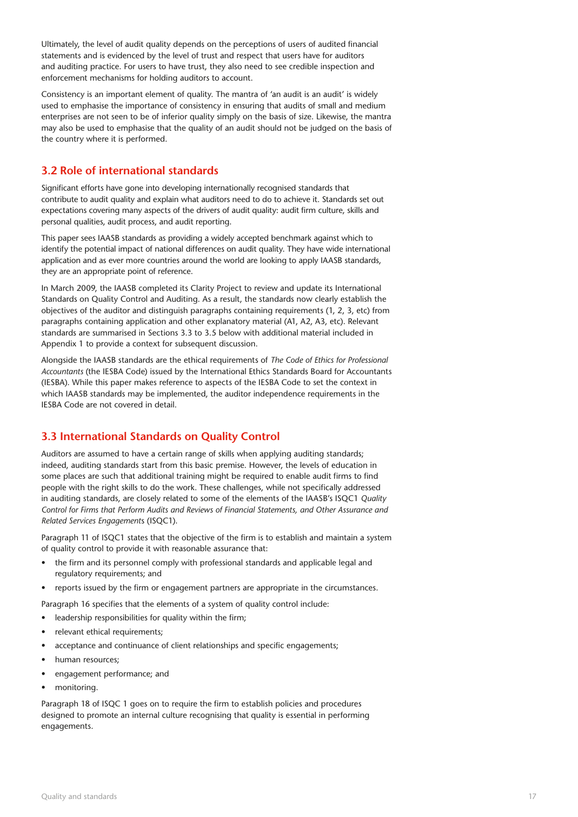Ultimately, the level of audit quality depends on the perceptions of users of audited financial statements and is evidenced by the level of trust and respect that users have for auditors and auditing practice. For users to have trust, they also need to see credible inspection and enforcement mechanisms for holding auditors to account.

Consistency is an important element of quality. The mantra of 'an audit is an audit' is widely used to emphasise the importance of consistency in ensuring that audits of small and medium enterprises are not seen to be of inferior quality simply on the basis of size. Likewise, the mantra may also be used to emphasise that the quality of an audit should not be judged on the basis of the country where it is performed.

## **3.2 Role of international standards**

Significant efforts have gone into developing internationally recognised standards that contribute to audit quality and explain what auditors need to do to achieve it. Standards set out expectations covering many aspects of the drivers of audit quality: audit firm culture, skills and personal qualities, audit process, and audit reporting.

This paper sees IAASB standards as providing a widely accepted benchmark against which to identify the potential impact of national differences on audit quality. They have wide international application and as ever more countries around the world are looking to apply IAASB standards, they are an appropriate point of reference.

In March 2009, the IAASB completed its Clarity Project to review and update its International Standards on Quality Control and Auditing. As a result, the standards now clearly establish the objectives of the auditor and distinguish paragraphs containing requirements (1, 2, 3, etc) from paragraphs containing application and other explanatory material (A1, A2, A3, etc). Relevant standards are summarised in Sections 3.3 to 3.5 below with additional material included in Appendix 1 to provide a context for subsequent discussion.

Alongside the IAASB standards are the ethical requirements of *The Code of Ethics for Professional Accountants* (the IESBA Code) issued by the International Ethics Standards Board for Accountants (IESBA). While this paper makes reference to aspects of the IESBA Code to set the context in which IAASB standards may be implemented, the auditor independence requirements in the IESBA Code are not covered in detail.

## **3.3 International Standards on Quality Control**

Auditors are assumed to have a certain range of skills when applying auditing standards; indeed, auditing standards start from this basic premise. However, the levels of education in some places are such that additional training might be required to enable audit firms to find people with the right skills to do the work. These challenges, while not specifically addressed in auditing standards, are closely related to some of the elements of the IAASB's ISQC1 *Quality Control for Firms that Perform Audits and Reviews of Financial Statements, and Other Assurance and Related Services Engagement*s (ISQC1).

Paragraph 11 of ISQC1 states that the objective of the firm is to establish and maintain a system of quality control to provide it with reasonable assurance that:

- the firm and its personnel comply with professional standards and applicable legal and regulatory requirements; and
- reports issued by the firm or engagement partners are appropriate in the circumstances.

Paragraph 16 specifies that the elements of a system of quality control include:

- leadership responsibilities for quality within the firm;
- relevant ethical requirements;
- acceptance and continuance of client relationships and specific engagements;
- human resources;
- engagement performance; and
- monitoring.

Paragraph 18 of ISQC 1 goes on to require the firm to establish policies and procedures designed to promote an internal culture recognising that quality is essential in performing engagements.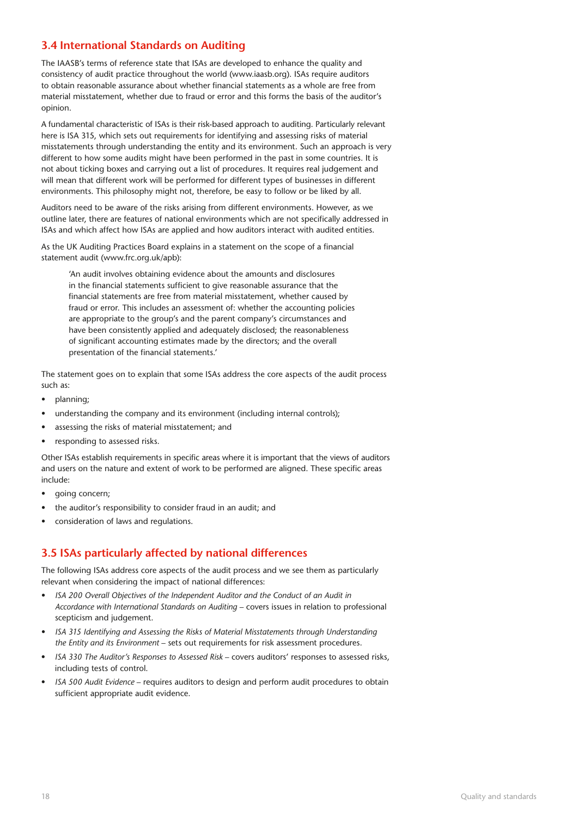## **3.4 International Standards on Auditing**

The IAASB's terms of reference state that ISAs are developed to enhance the quality and consistency of audit practice throughout the world (www.iaasb.org). ISAs require auditors to obtain reasonable assurance about whether financial statements as a whole are free from material misstatement, whether due to fraud or error and this forms the basis of the auditor's opinion.

A fundamental characteristic of ISAs is their risk-based approach to auditing. Particularly relevant here is ISA 315, which sets out requirements for identifying and assessing risks of material misstatements through understanding the entity and its environment. Such an approach is very different to how some audits might have been performed in the past in some countries. It is not about ticking boxes and carrying out a list of procedures. It requires real judgement and will mean that different work will be performed for different types of businesses in different environments. This philosophy might not, therefore, be easy to follow or be liked by all.

Auditors need to be aware of the risks arising from different environments. However, as we outline later, there are features of national environments which are not specifically addressed in ISAs and which affect how ISAs are applied and how auditors interact with audited entities.

As the UK Auditing Practices Board explains in a statement on the scope of a financial statement audit (www.frc.org.uk/apb):

'An audit involves obtaining evidence about the amounts and disclosures in the financial statements sufficient to give reasonable assurance that the financial statements are free from material misstatement, whether caused by fraud or error. This includes an assessment of: whether the accounting policies are appropriate to the group's and the parent company's circumstances and have been consistently applied and adequately disclosed; the reasonableness of significant accounting estimates made by the directors; and the overall presentation of the financial statements.'

The statement goes on to explain that some ISAs address the core aspects of the audit process such as:

- planning;
- understanding the company and its environment (including internal controls);
- assessing the risks of material misstatement; and
- responding to assessed risks.

Other ISAs establish requirements in specific areas where it is important that the views of auditors and users on the nature and extent of work to be performed are aligned. These specific areas include:

- going concern;
- the auditor's responsibility to consider fraud in an audit; and
- consideration of laws and regulations.

## **3.5 ISAs particularly affected by national differences**

The following ISAs address core aspects of the audit process and we see them as particularly relevant when considering the impact of national differences:

- *ISA 200 Overall Objectives of the Independent Auditor and the Conduct of an Audit in Accordance with International Standards on Auditing* – covers issues in relation to professional scepticism and judgement.
- *ISA 315 Identifying and Assessing the Risks of Material Misstatements through Understanding the Entity and its Environment* – sets out requirements for risk assessment procedures.
- *ISA 330 The Auditor's Responses to Assessed Risk*  covers auditors' responses to assessed risks, including tests of control.
- *ISA 500 Audit Evidence*  requires auditors to design and perform audit procedures to obtain sufficient appropriate audit evidence.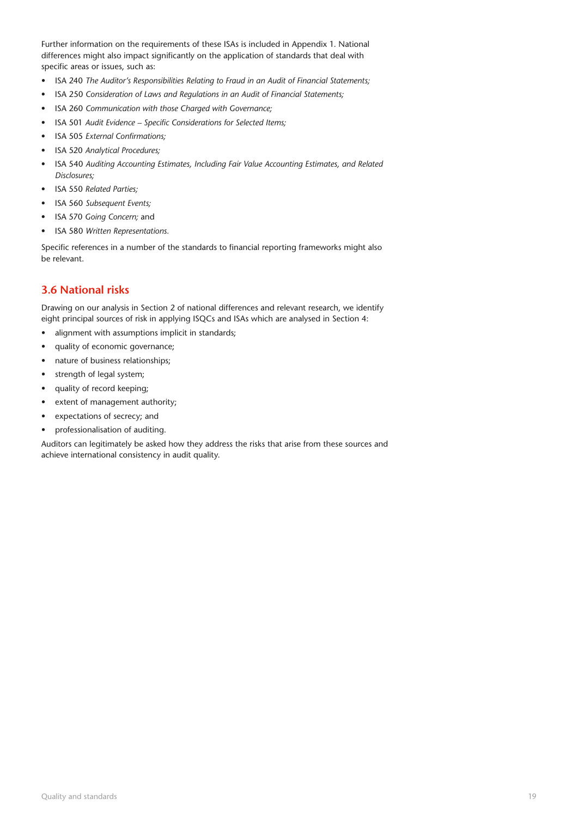Further information on the requirements of these ISAs is included in Appendix 1. National differences might also impact significantly on the application of standards that deal with specific areas or issues, such as:

- ISA 240 *The Auditor's Responsibilities Relating to Fraud in an Audit of Financial Statements;*
- ISA 250 *Consideration of Laws and Regulations in an Audit of Financial Statements;*
- ISA 260 *Communication with those Charged with Governance;*
- ISA 501 *Audit Evidence Specific Considerations for Selected Items;*
- ISA 505 *External Confirmations;*
- ISA 520 *Analytical Procedures;*
- ISA 540 *Auditing Accounting Estimates, Including Fair Value Accounting Estimates, and Related Disclosures;*
- ISA 550 *Related Parties;*
- ISA 560 *Subsequent Events;*
- ISA 570 *Going Concern;* and
- ISA 580 *Written Representations.*

Specific references in a number of the standards to financial reporting frameworks might also be relevant.

## **3.6 National risks**

Drawing on our analysis in Section 2 of national differences and relevant research, we identify eight principal sources of risk in applying ISQCs and ISAs which are analysed in Section 4:

- alignment with assumptions implicit in standards;
- quality of economic governance;
- nature of business relationships;
- strength of legal system;
- quality of record keeping;
- extent of management authority;
- expectations of secrecy; and
- professionalisation of auditing.

Auditors can legitimately be asked how they address the risks that arise from these sources and achieve international consistency in audit quality.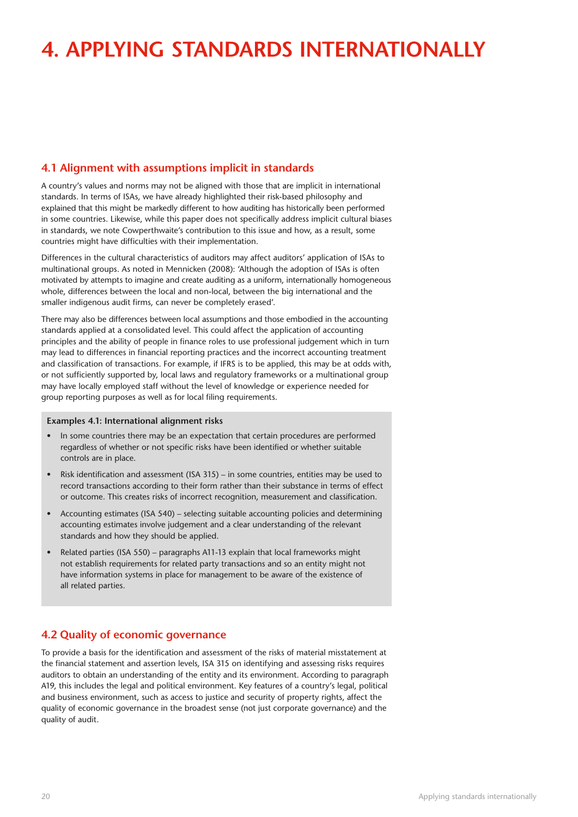# **4. Applying standards internationally**

## **4.1 Alignment with assumptions implicit in standards**

A country's values and norms may not be aligned with those that are implicit in international standards. In terms of ISAs, we have already highlighted their risk-based philosophy and explained that this might be markedly different to how auditing has historically been performed in some countries. Likewise, while this paper does not specifically address implicit cultural biases in standards, we note Cowperthwaite's contribution to this issue and how, as a result, some countries might have difficulties with their implementation.

Differences in the cultural characteristics of auditors may affect auditors' application of ISAs to multinational groups. As noted in Mennicken (2008): 'Although the adoption of ISAs is often motivated by attempts to imagine and create auditing as a uniform, internationally homogeneous whole, differences between the local and non-local, between the big international and the smaller indigenous audit firms, can never be completely erased'.

There may also be differences between local assumptions and those embodied in the accounting standards applied at a consolidated level. This could affect the application of accounting principles and the ability of people in finance roles to use professional judgement which in turn may lead to differences in financial reporting practices and the incorrect accounting treatment and classification of transactions. For example, if IFRS is to be applied, this may be at odds with, or not sufficiently supported by, local laws and regulatory frameworks or a multinational group may have locally employed staff without the level of knowledge or experience needed for group reporting purposes as well as for local filing requirements.

#### **Examples 4.1: International alignment risks**

- In some countries there may be an expectation that certain procedures are performed regardless of whether or not specific risks have been identified or whether suitable controls are in place.
- Risk identification and assessment (ISA 315) in some countries, entities may be used to record transactions according to their form rather than their substance in terms of effect or outcome. This creates risks of incorrect recognition, measurement and classification.
- Accounting estimates (ISA 540) selecting suitable accounting policies and determining accounting estimates involve judgement and a clear understanding of the relevant standards and how they should be applied.
- Related parties (ISA 550) paragraphs A11-13 explain that local frameworks might not establish requirements for related party transactions and so an entity might not have information systems in place for management to be aware of the existence of all related parties.

## **4.2 Quality of economic governance**

To provide a basis for the identification and assessment of the risks of material misstatement at the financial statement and assertion levels, ISA 315 on identifying and assessing risks requires auditors to obtain an understanding of the entity and its environment. According to paragraph A19, this includes the legal and political environment. Key features of a country's legal, political and business environment, such as access to justice and security of property rights, affect the quality of economic governance in the broadest sense (not just corporate governance) and the quality of audit.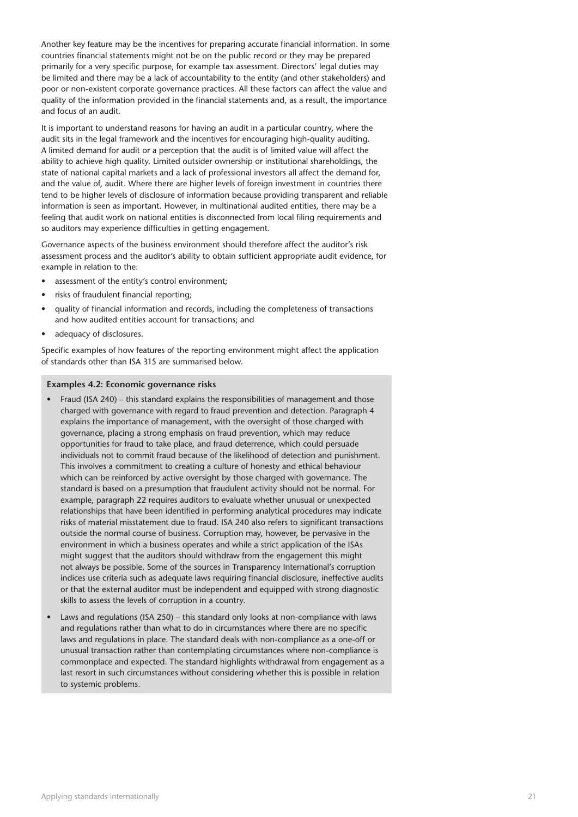Another key feature may be the incentives for preparing accurate financial information. In some countries financial statements might not be on the public record or they may be prepared primarily for a very specific purpose, for example tax assessment. Directors' legal duties may be limited and there may be a lack of accountability to the entity (and other stakeholders) and poor or non-existent corporate governance practices. All these factors can affect the value and quality of the information provided in the financial statements and, as a result, the importance and focus of an audit.

It is important to understand reasons for having an audit in a particular country, where the audit sits in the legal framework and the incentives for encouraging high-quality auditing. A limited demand for audit or a perception that the audit is of limited value will affect the ability to achieve high quality. Limited outsider ownership or institutional shareholdings, the state of national capital markets and a lack of professional investors all affect the demand for, and the value of, audit. Where there are higher levels of foreign investment in countries there tend to be higher levels of disclosure of information because providing transparent and reliable information is seen as important. However, in multinational audited entities, there may be a feeling that audit work on national entities is disconnected from local filing requirements and so auditors may experience difficulties in getting engagement.

Governance aspects of the business environment should therefore affect the auditor's risk assessment process and the auditor's ability to obtain sufficient appropriate audit evidence, for example in relation to the:

- assessment of the entity's control environment;
- risks of fraudulent financial reporting;
- quality of financial information and records, including the completeness of transactions and how audited entities account for transactions; and
- adequacy of disclosures.

Specific examples of how features of the reporting environment might affect the application of standards other than ISA 315 are summarised below.

#### **Examples 4.2: Economic governance risks**

- Fraud (ISA 240) this standard explains the responsibilities of management and those charged with governance with regard to fraud prevention and detection. Paragraph 4 explains the importance of management, with the oversight of those charged with governance, placing a strong emphasis on fraud prevention, which may reduce opportunities for fraud to take place, and fraud deterrence, which could persuade individuals not to commit fraud because of the likelihood of detection and punishment. This involves a commitment to creating a culture of honesty and ethical behaviour which can be reinforced by active oversight by those charged with governance. The standard is based on a presumption that fraudulent activity should not be normal. For example, paragraph 22 requires auditors to evaluate whether unusual or unexpected relationships that have been identified in performing analytical procedures may indicate risks of material misstatement due to fraud. ISA 240 also refers to significant transactions outside the normal course of business. Corruption may, however, be pervasive in the environment in which a business operates and while a strict application of the ISAs might suggest that the auditors should withdraw from the engagement this might not always be possible. Some of the sources in Transparency International's corruption indices use criteria such as adequate laws requiring financial disclosure, ineffective audits or that the external auditor must be independent and equipped with strong diagnostic skills to assess the levels of corruption in a country.
- Laws and regulations (ISA 250) this standard only looks at non-compliance with laws and regulations rather than what to do in circumstances where there are no specific laws and regulations in place. The standard deals with non-compliance as a one-off or unusual transaction rather than contemplating circumstances where non-compliance is commonplace and expected. The standard highlights withdrawal from engagement as a last resort in such circumstances without considering whether this is possible in relation to systemic problems.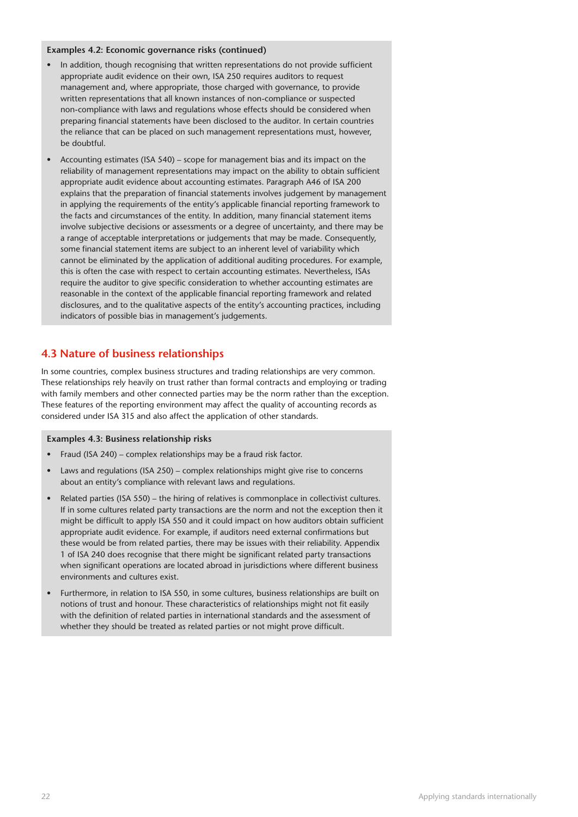#### **Examples 4.2: Economic governance risks (continued)**

- In addition, though recognising that written representations do not provide sufficient appropriate audit evidence on their own, ISA 250 requires auditors to request management and, where appropriate, those charged with governance, to provide written representations that all known instances of non-compliance or suspected non-compliance with laws and regulations whose effects should be considered when preparing financial statements have been disclosed to the auditor. In certain countries the reliance that can be placed on such management representations must, however, be doubtful.
- Accounting estimates (ISA 540) scope for management bias and its impact on the reliability of management representations may impact on the ability to obtain sufficient appropriate audit evidence about accounting estimates. Paragraph A46 of ISA 200 explains that the preparation of financial statements involves judgement by management in applying the requirements of the entity's applicable financial reporting framework to the facts and circumstances of the entity. In addition, many financial statement items involve subjective decisions or assessments or a degree of uncertainty, and there may be a range of acceptable interpretations or judgements that may be made. Consequently, some financial statement items are subject to an inherent level of variability which cannot be eliminated by the application of additional auditing procedures. For example, this is often the case with respect to certain accounting estimates. Nevertheless, ISAs require the auditor to give specific consideration to whether accounting estimates are reasonable in the context of the applicable financial reporting framework and related disclosures, and to the qualitative aspects of the entity's accounting practices, including indicators of possible bias in management's judgements.

### **4.3 Nature of business relationships**

In some countries, complex business structures and trading relationships are very common. These relationships rely heavily on trust rather than formal contracts and employing or trading with family members and other connected parties may be the norm rather than the exception. These features of the reporting environment may affect the quality of accounting records as considered under ISA 315 and also affect the application of other standards.

#### **Examples 4.3: Business relationship risks**

- Fraud (ISA 240) complex relationships may be a fraud risk factor.
- Laws and regulations (ISA 250) complex relationships might give rise to concerns about an entity's compliance with relevant laws and regulations.
- Related parties (ISA 550) the hiring of relatives is commonplace in collectivist cultures. If in some cultures related party transactions are the norm and not the exception then it might be difficult to apply ISA 550 and it could impact on how auditors obtain sufficient appropriate audit evidence. For example, if auditors need external confirmations but these would be from related parties, there may be issues with their reliability. Appendix 1 of ISA 240 does recognise that there might be significant related party transactions when significant operations are located abroad in jurisdictions where different business environments and cultures exist.
- Furthermore, in relation to ISA 550, in some cultures, business relationships are built on notions of trust and honour. These characteristics of relationships might not fit easily with the definition of related parties in international standards and the assessment of whether they should be treated as related parties or not might prove difficult.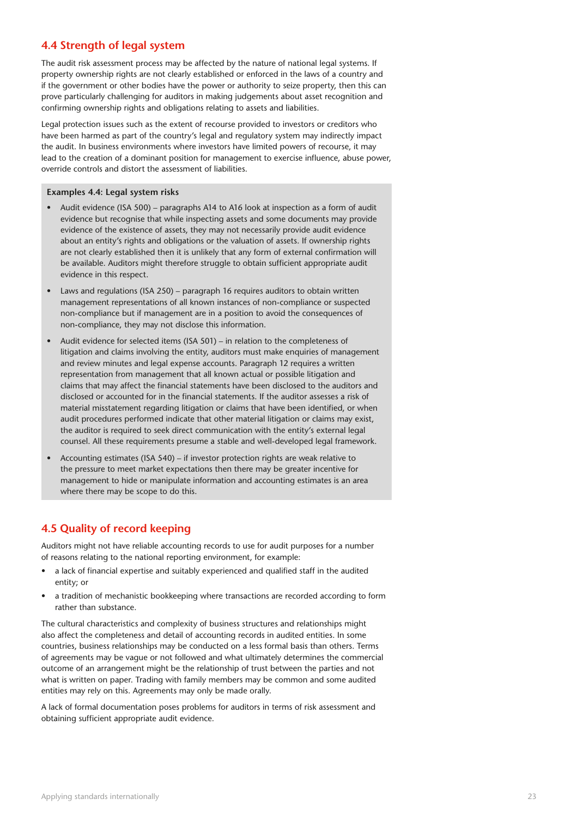## **4.4 Strength of legal system**

The audit risk assessment process may be affected by the nature of national legal systems. If property ownership rights are not clearly established or enforced in the laws of a country and if the government or other bodies have the power or authority to seize property, then this can prove particularly challenging for auditors in making judgements about asset recognition and confirming ownership rights and obligations relating to assets and liabilities.

Legal protection issues such as the extent of recourse provided to investors or creditors who have been harmed as part of the country's legal and regulatory system may indirectly impact the audit. In business environments where investors have limited powers of recourse, it may lead to the creation of a dominant position for management to exercise influence, abuse power, override controls and distort the assessment of liabilities.

#### **Examples 4.4: Legal system risks**

- Audit evidence (ISA 500) paragraphs A14 to A16 look at inspection as a form of audit evidence but recognise that while inspecting assets and some documents may provide evidence of the existence of assets, they may not necessarily provide audit evidence about an entity's rights and obligations or the valuation of assets. If ownership rights are not clearly established then it is unlikely that any form of external confirmation will be available. Auditors might therefore struggle to obtain sufficient appropriate audit evidence in this respect.
- Laws and regulations (ISA 250) paragraph 16 requires auditors to obtain written management representations of all known instances of non-compliance or suspected non-compliance but if management are in a position to avoid the consequences of non-compliance, they may not disclose this information.
- Audit evidence for selected items (ISA 501) in relation to the completeness of litigation and claims involving the entity, auditors must make enquiries of management and review minutes and legal expense accounts. Paragraph 12 requires a written representation from management that all known actual or possible litigation and claims that may affect the financial statements have been disclosed to the auditors and disclosed or accounted for in the financial statements. If the auditor assesses a risk of material misstatement regarding litigation or claims that have been identified, or when audit procedures performed indicate that other material litigation or claims may exist, the auditor is required to seek direct communication with the entity's external legal counsel. All these requirements presume a stable and well-developed legal framework.
- Accounting estimates (ISA 540) if investor protection rights are weak relative to the pressure to meet market expectations then there may be greater incentive for management to hide or manipulate information and accounting estimates is an area where there may be scope to do this.

## **4.5 Quality of record keeping**

Auditors might not have reliable accounting records to use for audit purposes for a number of reasons relating to the national reporting environment, for example:

- a lack of financial expertise and suitably experienced and qualified staff in the audited entity; or
- a tradition of mechanistic bookkeeping where transactions are recorded according to form rather than substance.

The cultural characteristics and complexity of business structures and relationships might also affect the completeness and detail of accounting records in audited entities. In some countries, business relationships may be conducted on a less formal basis than others. Terms of agreements may be vague or not followed and what ultimately determines the commercial outcome of an arrangement might be the relationship of trust between the parties and not what is written on paper. Trading with family members may be common and some audited entities may rely on this. Agreements may only be made orally.

A lack of formal documentation poses problems for auditors in terms of risk assessment and obtaining sufficient appropriate audit evidence.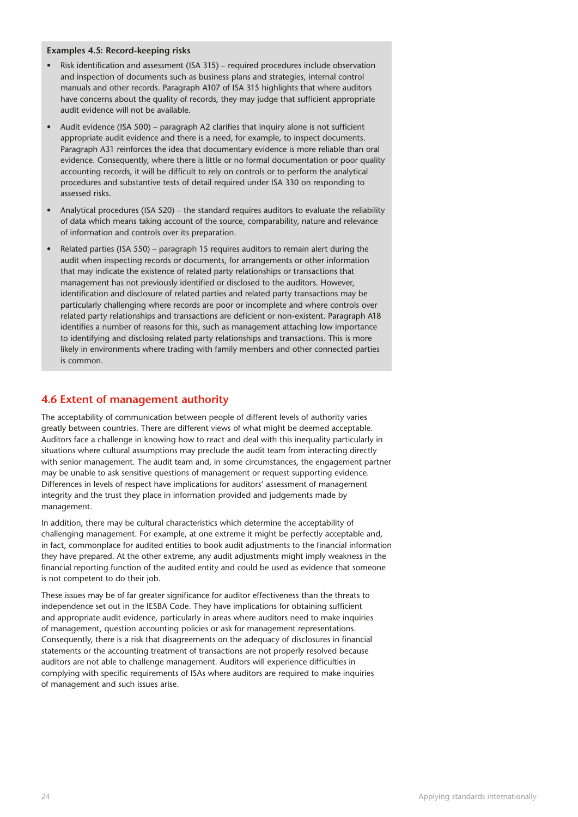#### **Examples 4.5: Record-keeping risks**

- Risk identification and assessment (ISA 315) required procedures include observation and inspection of documents such as business plans and strategies, internal control manuals and other records. Paragraph A107 of ISA 315 highlights that where auditors have concerns about the quality of records, they may judge that sufficient appropriate audit evidence will not be available.
- Audit evidence (ISA 500) paragraph A2 clarifies that inquiry alone is not sufficient appropriate audit evidence and there is a need, for example, to inspect documents. Paragraph A31 reinforces the idea that documentary evidence is more reliable than oral evidence. Consequently, where there is little or no formal documentation or poor quality accounting records, it will be difficult to rely on controls or to perform the analytical procedures and substantive tests of detail required under ISA 330 on responding to assessed risks.
- Analytical procedures (ISA 520) the standard requires auditors to evaluate the reliability of data which means taking account of the source, comparability, nature and relevance of information and controls over its preparation.
- Related parties (ISA 550) paragraph 15 requires auditors to remain alert during the audit when inspecting records or documents, for arrangements or other information that may indicate the existence of related party relationships or transactions that management has not previously identified or disclosed to the auditors. However, identification and disclosure of related parties and related party transactions may be particularly challenging where records are poor or incomplete and where controls over related party relationships and transactions are deficient or non-existent. Paragraph A18 identifies a number of reasons for this, such as management attaching low importance to identifying and disclosing related party relationships and transactions. This is more likely in environments where trading with family members and other connected parties is common.

## **4.6 Extent of management authority**

The acceptability of communication between people of different levels of authority varies greatly between countries. There are different views of what might be deemed acceptable. Auditors face a challenge in knowing how to react and deal with this inequality particularly in situations where cultural assumptions may preclude the audit team from interacting directly with senior management. The audit team and, in some circumstances, the engagement partner may be unable to ask sensitive questions of management or request supporting evidence. Differences in levels of respect have implications for auditors' assessment of management integrity and the trust they place in information provided and judgements made by management.

In addition, there may be cultural characteristics which determine the acceptability of challenging management. For example, at one extreme it might be perfectly acceptable and, in fact, commonplace for audited entities to book audit adjustments to the financial information they have prepared. At the other extreme, any audit adjustments might imply weakness in the financial reporting function of the audited entity and could be used as evidence that someone is not competent to do their job.

These issues may be of far greater significance for auditor effectiveness than the threats to independence set out in the IESBA Code. They have implications for obtaining sufficient and appropriate audit evidence, particularly in areas where auditors need to make inquiries of management, question accounting policies or ask for management representations. Consequently, there is a risk that disagreements on the adequacy of disclosures in financial statements or the accounting treatment of transactions are not properly resolved because auditors are not able to challenge management. Auditors will experience difficulties in complying with specific requirements of ISAs where auditors are required to make inquiries of management and such issues arise.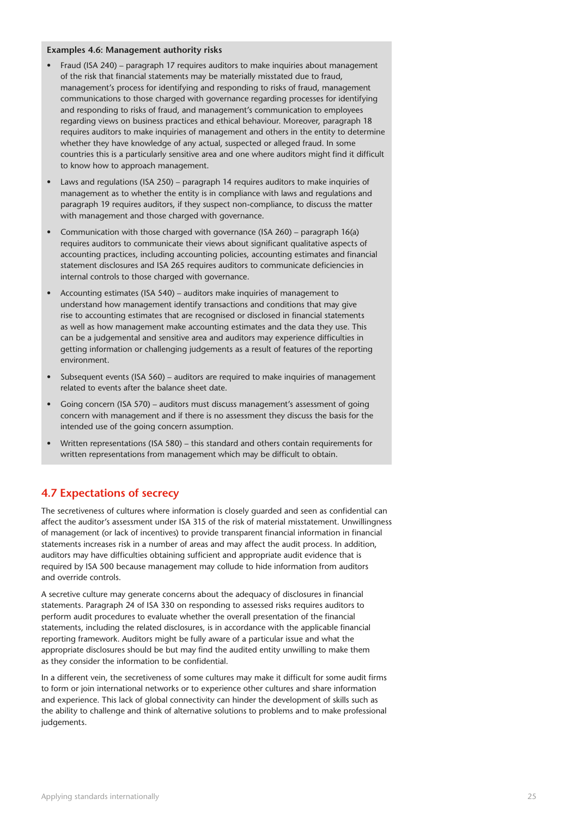#### **Examples 4.6: Management authority risks**

- Fraud (ISA 240) paragraph 17 requires auditors to make inquiries about management of the risk that financial statements may be materially misstated due to fraud, management's process for identifying and responding to risks of fraud, management communications to those charged with governance regarding processes for identifying and responding to risks of fraud, and management's communication to employees regarding views on business practices and ethical behaviour. Moreover, paragraph 18 requires auditors to make inquiries of management and others in the entity to determine whether they have knowledge of any actual, suspected or alleged fraud. In some countries this is a particularly sensitive area and one where auditors might find it difficult to know how to approach management.
- Laws and regulations (ISA 250) paragraph 14 requires auditors to make inquiries of management as to whether the entity is in compliance with laws and regulations and paragraph 19 requires auditors, if they suspect non-compliance, to discuss the matter with management and those charged with governance.
- Communication with those charged with governance (ISA 260) paragraph 16(a) requires auditors to communicate their views about significant qualitative aspects of accounting practices, including accounting policies, accounting estimates and financial statement disclosures and ISA 265 requires auditors to communicate deficiencies in internal controls to those charged with governance.
- Accounting estimates (ISA 540) auditors make inquiries of management to understand how management identify transactions and conditions that may give rise to accounting estimates that are recognised or disclosed in financial statements as well as how management make accounting estimates and the data they use. This can be a judgemental and sensitive area and auditors may experience difficulties in getting information or challenging judgements as a result of features of the reporting environment.
- Subsequent events (ISA 560) auditors are required to make inquiries of management related to events after the balance sheet date.
- Going concern (ISA 570) auditors must discuss management's assessment of going concern with management and if there is no assessment they discuss the basis for the intended use of the going concern assumption.
- Written representations (ISA 580) this standard and others contain requirements for written representations from management which may be difficult to obtain.

## **4.7 Expectations of secrecy**

The secretiveness of cultures where information is closely guarded and seen as confidential can affect the auditor's assessment under ISA 315 of the risk of material misstatement. Unwillingness of management (or lack of incentives) to provide transparent financial information in financial statements increases risk in a number of areas and may affect the audit process. In addition, auditors may have difficulties obtaining sufficient and appropriate audit evidence that is required by ISA 500 because management may collude to hide information from auditors and override controls.

A secretive culture may generate concerns about the adequacy of disclosures in financial statements. Paragraph 24 of ISA 330 on responding to assessed risks requires auditors to perform audit procedures to evaluate whether the overall presentation of the financial statements, including the related disclosures, is in accordance with the applicable financial reporting framework. Auditors might be fully aware of a particular issue and what the appropriate disclosures should be but may find the audited entity unwilling to make them as they consider the information to be confidential.

In a different vein, the secretiveness of some cultures may make it difficult for some audit firms to form or join international networks or to experience other cultures and share information and experience. This lack of global connectivity can hinder the development of skills such as the ability to challenge and think of alternative solutions to problems and to make professional judgements.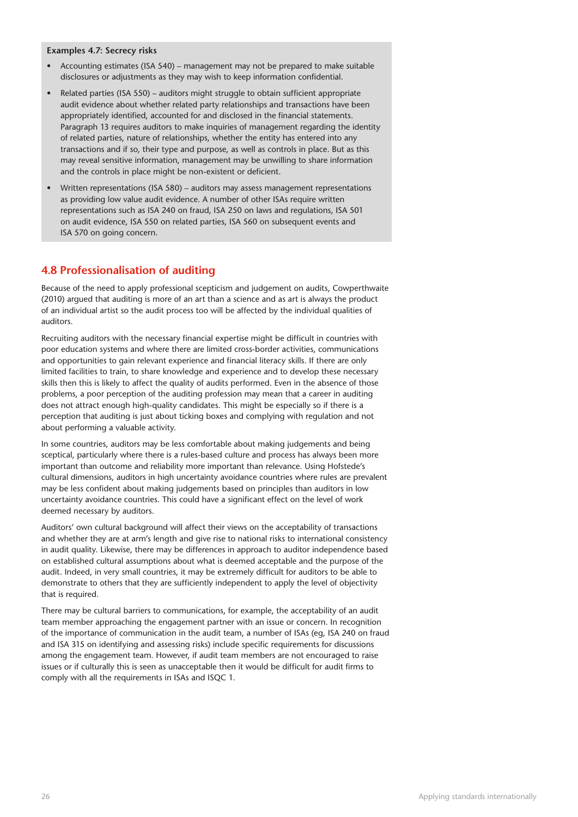#### **Examples 4.7: Secrecy risks**

- Accounting estimates (ISA 540) management may not be prepared to make suitable disclosures or adjustments as they may wish to keep information confidential.
- Related parties (ISA 550) auditors might struggle to obtain sufficient appropriate audit evidence about whether related party relationships and transactions have been appropriately identified, accounted for and disclosed in the financial statements. Paragraph 13 requires auditors to make inquiries of management regarding the identity of related parties, nature of relationships, whether the entity has entered into any transactions and if so, their type and purpose, as well as controls in place. But as this may reveal sensitive information, management may be unwilling to share information and the controls in place might be non-existent or deficient.
- Written representations (ISA 580) auditors may assess management representations as providing low value audit evidence. A number of other ISAs require written representations such as ISA 240 on fraud, ISA 250 on laws and regulations, ISA 501 on audit evidence, ISA 550 on related parties, ISA 560 on subsequent events and ISA 570 on going concern.

## **4.8 Professionalisation of auditing**

Because of the need to apply professional scepticism and judgement on audits, Cowperthwaite (2010) argued that auditing is more of an art than a science and as art is always the product of an individual artist so the audit process too will be affected by the individual qualities of auditors.

Recruiting auditors with the necessary financial expertise might be difficult in countries with poor education systems and where there are limited cross-border activities, communications and opportunities to gain relevant experience and financial literacy skills. If there are only limited facilities to train, to share knowledge and experience and to develop these necessary skills then this is likely to affect the quality of audits performed. Even in the absence of those problems, a poor perception of the auditing profession may mean that a career in auditing does not attract enough high-quality candidates. This might be especially so if there is a perception that auditing is just about ticking boxes and complying with regulation and not about performing a valuable activity.

In some countries, auditors may be less comfortable about making judgements and being sceptical, particularly where there is a rules-based culture and process has always been more important than outcome and reliability more important than relevance. Using Hofstede's cultural dimensions, auditors in high uncertainty avoidance countries where rules are prevalent may be less confident about making judgements based on principles than auditors in low uncertainty avoidance countries. This could have a significant effect on the level of work deemed necessary by auditors.

Auditors' own cultural background will affect their views on the acceptability of transactions and whether they are at arm's length and give rise to national risks to international consistency in audit quality. Likewise, there may be differences in approach to auditor independence based on established cultural assumptions about what is deemed acceptable and the purpose of the audit. Indeed, in very small countries, it may be extremely difficult for auditors to be able to demonstrate to others that they are sufficiently independent to apply the level of objectivity that is required.

There may be cultural barriers to communications, for example, the acceptability of an audit team member approaching the engagement partner with an issue or concern. In recognition of the importance of communication in the audit team, a number of ISAs (eg, ISA 240 on fraud and ISA 315 on identifying and assessing risks) include specific requirements for discussions among the engagement team. However, if audit team members are not encouraged to raise issues or if culturally this is seen as unacceptable then it would be difficult for audit firms to comply with all the requirements in ISAs and ISQC 1.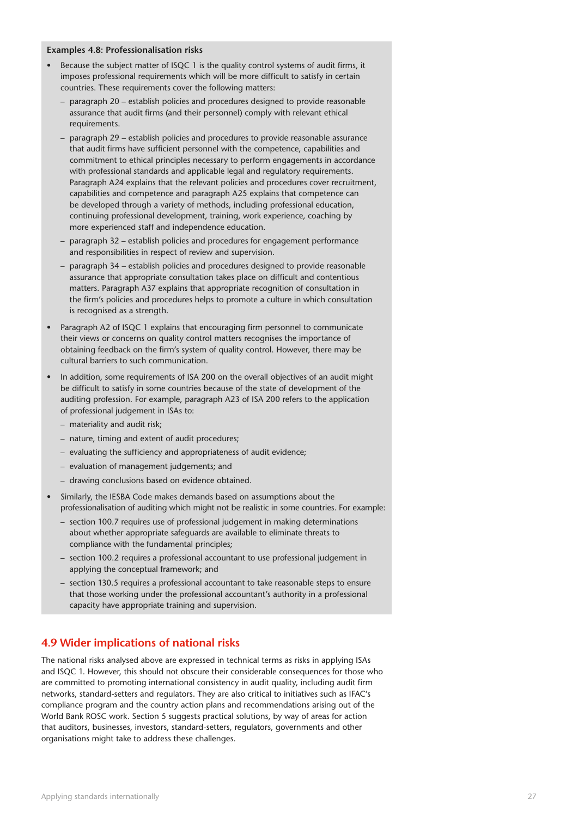#### **Examples 4.8: Professionalisation risks**

- Because the subject matter of ISQC 1 is the quality control systems of audit firms, it imposes professional requirements which will be more difficult to satisfy in certain countries. These requirements cover the following matters:
	- paragraph 20 establish policies and procedures designed to provide reasonable assurance that audit firms (and their personnel) comply with relevant ethical requirements.
	- paragraph 29 establish policies and procedures to provide reasonable assurance that audit firms have sufficient personnel with the competence, capabilities and commitment to ethical principles necessary to perform engagements in accordance with professional standards and applicable legal and regulatory requirements. Paragraph A24 explains that the relevant policies and procedures cover recruitment, capabilities and competence and paragraph A25 explains that competence can be developed through a variety of methods, including professional education, continuing professional development, training, work experience, coaching by more experienced staff and independence education.
	- paragraph 32 establish policies and procedures for engagement performance and responsibilities in respect of review and supervision.
	- paragraph 34 establish policies and procedures designed to provide reasonable assurance that appropriate consultation takes place on difficult and contentious matters. Paragraph A37 explains that appropriate recognition of consultation in the firm's policies and procedures helps to promote a culture in which consultation is recognised as a strength.
- Paragraph A2 of ISQC 1 explains that encouraging firm personnel to communicate their views or concerns on quality control matters recognises the importance of obtaining feedback on the firm's system of quality control. However, there may be cultural barriers to such communication.
- In addition, some requirements of ISA 200 on the overall objectives of an audit might be difficult to satisfy in some countries because of the state of development of the auditing profession. For example, paragraph A23 of ISA 200 refers to the application of professional judgement in ISAs to:
	- materiality and audit risk;
	- nature, timing and extent of audit procedures;
	- evaluating the sufficiency and appropriateness of audit evidence;
	- evaluation of management judgements; and
	- drawing conclusions based on evidence obtained.
- Similarly, the IESBA Code makes demands based on assumptions about the professionalisation of auditing which might not be realistic in some countries. For example:
	- section 100.7 requires use of professional judgement in making determinations about whether appropriate safeguards are available to eliminate threats to compliance with the fundamental principles;
	- section 100.2 requires a professional accountant to use professional judgement in applying the conceptual framework; and
	- section 130.5 requires a professional accountant to take reasonable steps to ensure that those working under the professional accountant's authority in a professional capacity have appropriate training and supervision.

#### **4.9 Wider implications of national risks**

The national risks analysed above are expressed in technical terms as risks in applying ISAs and ISQC 1. However, this should not obscure their considerable consequences for those who are committed to promoting international consistency in audit quality, including audit firm networks, standard-setters and regulators. They are also critical to initiatives such as IFAC's compliance program and the country action plans and recommendations arising out of the World Bank ROSC work. Section 5 suggests practical solutions, by way of areas for action that auditors, businesses, investors, standard-setters, regulators, governments and other organisations might take to address these challenges.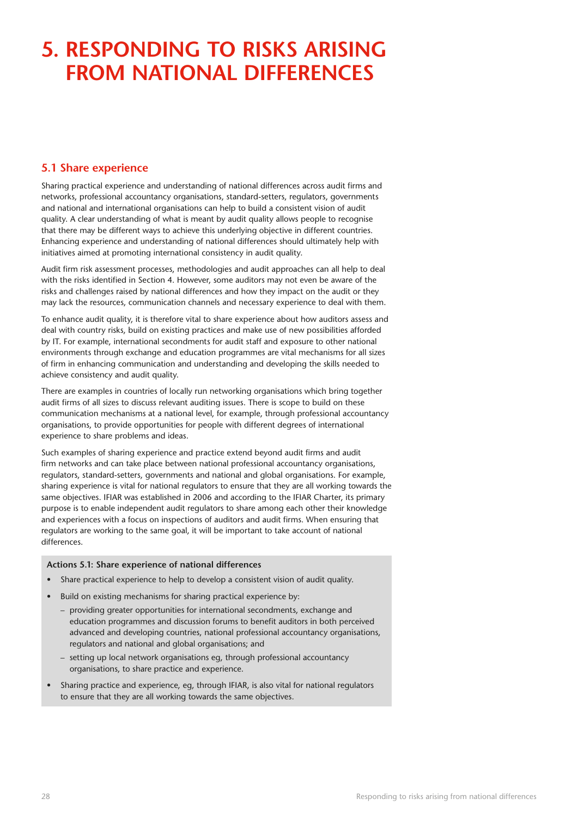## **5. Responding to risks arising from national differences**

## **5.1 Share experience**

Sharing practical experience and understanding of national differences across audit firms and networks, professional accountancy organisations, standard-setters, regulators, governments and national and international organisations can help to build a consistent vision of audit quality. A clear understanding of what is meant by audit quality allows people to recognise that there may be different ways to achieve this underlying objective in different countries. Enhancing experience and understanding of national differences should ultimately help with initiatives aimed at promoting international consistency in audit quality.

Audit firm risk assessment processes, methodologies and audit approaches can all help to deal with the risks identified in Section 4. However, some auditors may not even be aware of the risks and challenges raised by national differences and how they impact on the audit or they may lack the resources, communication channels and necessary experience to deal with them.

To enhance audit quality, it is therefore vital to share experience about how auditors assess and deal with country risks, build on existing practices and make use of new possibilities afforded by IT. For example, international secondments for audit staff and exposure to other national environments through exchange and education programmes are vital mechanisms for all sizes of firm in enhancing communication and understanding and developing the skills needed to achieve consistency and audit quality.

There are examples in countries of locally run networking organisations which bring together audit firms of all sizes to discuss relevant auditing issues. There is scope to build on these communication mechanisms at a national level, for example, through professional accountancy organisations, to provide opportunities for people with different degrees of international experience to share problems and ideas.

Such examples of sharing experience and practice extend beyond audit firms and audit firm networks and can take place between national professional accountancy organisations, regulators, standard-setters, governments and national and global organisations. For example, sharing experience is vital for national regulators to ensure that they are all working towards the same objectives. IFIAR was established in 2006 and according to the IFIAR Charter, its primary purpose is to enable independent audit regulators to share among each other their knowledge and experiences with a focus on inspections of auditors and audit firms. When ensuring that regulators are working to the same goal, it will be important to take account of national differences.

#### **Actions 5.1: Share experience of national differences**

- Share practical experience to help to develop a consistent vision of audit quality.
- Build on existing mechanisms for sharing practical experience by:
	- providing greater opportunities for international secondments, exchange and education programmes and discussion forums to benefit auditors in both perceived advanced and developing countries, national professional accountancy organisations, regulators and national and global organisations; and
	- setting up local network organisations eg, through professional accountancy organisations, to share practice and experience.
- Sharing practice and experience, eg, through IFIAR, is also vital for national regulators to ensure that they are all working towards the same objectives.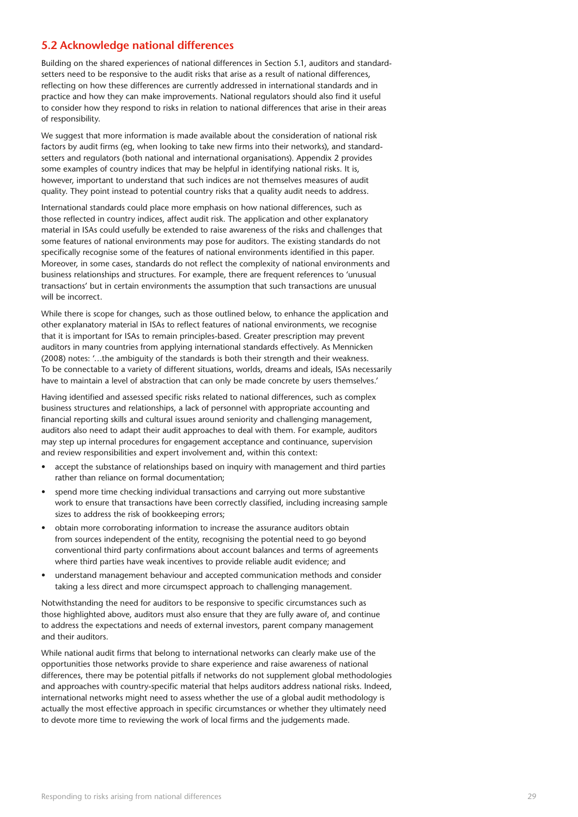### **5.2 Acknowledge national differences**

Building on the shared experiences of national differences in Section 5.1, auditors and standardsetters need to be responsive to the audit risks that arise as a result of national differences, reflecting on how these differences are currently addressed in international standards and in practice and how they can make improvements. National regulators should also find it useful to consider how they respond to risks in relation to national differences that arise in their areas of responsibility.

We suggest that more information is made available about the consideration of national risk factors by audit firms (eg, when looking to take new firms into their networks), and standardsetters and regulators (both national and international organisations). Appendix 2 provides some examples of country indices that may be helpful in identifying national risks. It is, however, important to understand that such indices are not themselves measures of audit quality. They point instead to potential country risks that a quality audit needs to address.

International standards could place more emphasis on how national differences, such as those reflected in country indices, affect audit risk. The application and other explanatory material in ISAs could usefully be extended to raise awareness of the risks and challenges that some features of national environments may pose for auditors. The existing standards do not specifically recognise some of the features of national environments identified in this paper. Moreover, in some cases, standards do not reflect the complexity of national environments and business relationships and structures. For example, there are frequent references to 'unusual transactions' but in certain environments the assumption that such transactions are unusual will be incorrect.

While there is scope for changes, such as those outlined below, to enhance the application and other explanatory material in ISAs to reflect features of national environments, we recognise that it is important for ISAs to remain principles-based. Greater prescription may prevent auditors in many countries from applying international standards effectively. As Mennicken (2008) notes: '…the ambiguity of the standards is both their strength and their weakness. To be connectable to a variety of different situations, worlds, dreams and ideals, ISAs necessarily have to maintain a level of abstraction that can only be made concrete by users themselves.'

Having identified and assessed specific risks related to national differences, such as complex business structures and relationships, a lack of personnel with appropriate accounting and financial reporting skills and cultural issues around seniority and challenging management, auditors also need to adapt their audit approaches to deal with them. For example, auditors may step up internal procedures for engagement acceptance and continuance, supervision and review responsibilities and expert involvement and, within this context:

- accept the substance of relationships based on inquiry with management and third parties rather than reliance on formal documentation;
- spend more time checking individual transactions and carrying out more substantive work to ensure that transactions have been correctly classified, including increasing sample sizes to address the risk of bookkeeping errors;
- obtain more corroborating information to increase the assurance auditors obtain from sources independent of the entity, recognising the potential need to go beyond conventional third party confirmations about account balances and terms of agreements where third parties have weak incentives to provide reliable audit evidence; and
- understand management behaviour and accepted communication methods and consider taking a less direct and more circumspect approach to challenging management.

Notwithstanding the need for auditors to be responsive to specific circumstances such as those highlighted above, auditors must also ensure that they are fully aware of, and continue to address the expectations and needs of external investors, parent company management and their auditors.

While national audit firms that belong to international networks can clearly make use of the opportunities those networks provide to share experience and raise awareness of national differences, there may be potential pitfalls if networks do not supplement global methodologies and approaches with country-specific material that helps auditors address national risks. Indeed, international networks might need to assess whether the use of a global audit methodology is actually the most effective approach in specific circumstances or whether they ultimately need to devote more time to reviewing the work of local firms and the judgements made.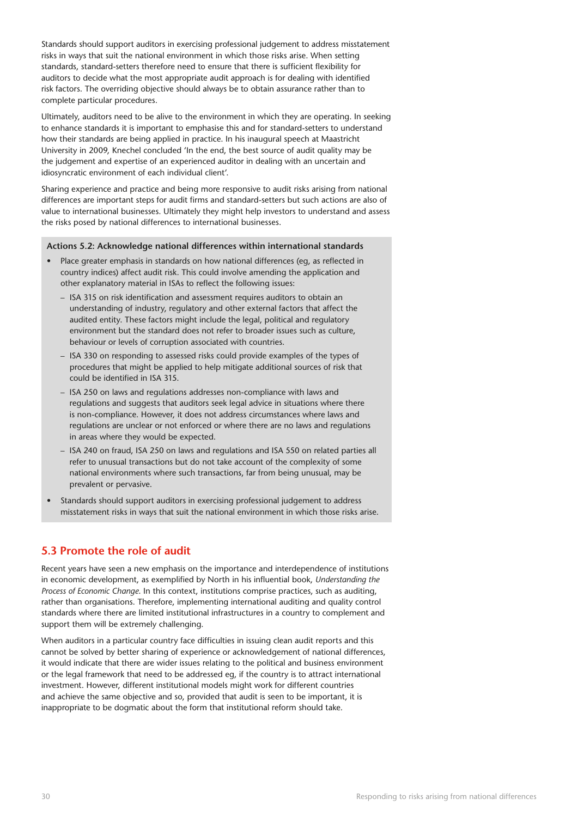Standards should support auditors in exercising professional judgement to address misstatement risks in ways that suit the national environment in which those risks arise. When setting standards, standard-setters therefore need to ensure that there is sufficient flexibility for auditors to decide what the most appropriate audit approach is for dealing with identified risk factors. The overriding objective should always be to obtain assurance rather than to complete particular procedures.

Ultimately, auditors need to be alive to the environment in which they are operating. In seeking to enhance standards it is important to emphasise this and for standard-setters to understand how their standards are being applied in practice. In his inaugural speech at Maastricht University in 2009, Knechel concluded 'In the end, the best source of audit quality may be the judgement and expertise of an experienced auditor in dealing with an uncertain and idiosyncratic environment of each individual client'.

Sharing experience and practice and being more responsive to audit risks arising from national differences are important steps for audit firms and standard-setters but such actions are also of value to international businesses. Ultimately they might help investors to understand and assess the risks posed by national differences to international businesses.

#### **Actions 5.2: Acknowledge national differences within international standards**

- Place greater emphasis in standards on how national differences (eg, as reflected in country indices) affect audit risk. This could involve amending the application and other explanatory material in ISAs to reflect the following issues:
	- ISA 315 on risk identification and assessment requires auditors to obtain an understanding of industry, regulatory and other external factors that affect the audited entity. These factors might include the legal, political and regulatory environment but the standard does not refer to broader issues such as culture, behaviour or levels of corruption associated with countries.
	- ISA 330 on responding to assessed risks could provide examples of the types of procedures that might be applied to help mitigate additional sources of risk that could be identified in ISA 315.
	- ISA 250 on laws and regulations addresses non-compliance with laws and regulations and suggests that auditors seek legal advice in situations where there is non-compliance. However, it does not address circumstances where laws and regulations are unclear or not enforced or where there are no laws and regulations in areas where they would be expected.
	- ISA 240 on fraud, ISA 250 on laws and regulations and ISA 550 on related parties all refer to unusual transactions but do not take account of the complexity of some national environments where such transactions, far from being unusual, may be prevalent or pervasive.
- Standards should support auditors in exercising professional judgement to address misstatement risks in ways that suit the national environment in which those risks arise.

## **5.3 Promote the role of audit**

Recent years have seen a new emphasis on the importance and interdependence of institutions in economic development, as exemplified by North in his influential book, *Understanding the Process of Economic Change*. In this context, institutions comprise practices, such as auditing, rather than organisations. Therefore, implementing international auditing and quality control standards where there are limited institutional infrastructures in a country to complement and support them will be extremely challenging.

When auditors in a particular country face difficulties in issuing clean audit reports and this cannot be solved by better sharing of experience or acknowledgement of national differences, it would indicate that there are wider issues relating to the political and business environment or the legal framework that need to be addressed eg, if the country is to attract international investment. However, different institutional models might work for different countries and achieve the same objective and so, provided that audit is seen to be important, it is inappropriate to be dogmatic about the form that institutional reform should take.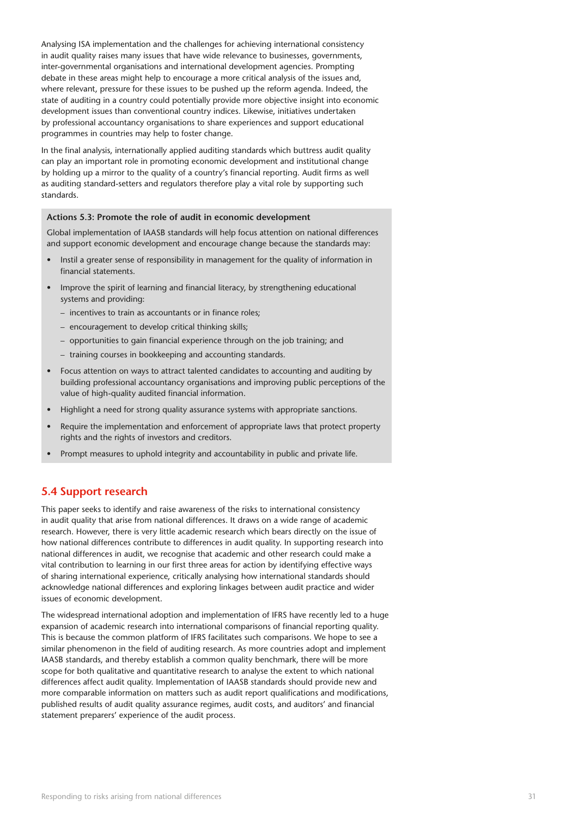Analysing ISA implementation and the challenges for achieving international consistency in audit quality raises many issues that have wide relevance to businesses, governments, inter-governmental organisations and international development agencies. Prompting debate in these areas might help to encourage a more critical analysis of the issues and, where relevant, pressure for these issues to be pushed up the reform agenda. Indeed, the state of auditing in a country could potentially provide more objective insight into economic development issues than conventional country indices. Likewise, initiatives undertaken by professional accountancy organisations to share experiences and support educational programmes in countries may help to foster change.

In the final analysis, internationally applied auditing standards which buttress audit quality can play an important role in promoting economic development and institutional change by holding up a mirror to the quality of a country's financial reporting. Audit firms as well as auditing standard-setters and regulators therefore play a vital role by supporting such standards.

#### **Actions 5.3: Promote the role of audit in economic development**

Global implementation of IAASB standards will help focus attention on national differences and support economic development and encourage change because the standards may:

- Instil a greater sense of responsibility in management for the quality of information in financial statements.
- Improve the spirit of learning and financial literacy, by strengthening educational systems and providing:
	- incentives to train as accountants or in finance roles;
	- encouragement to develop critical thinking skills;
	- opportunities to gain financial experience through on the job training; and
	- training courses in bookkeeping and accounting standards.
- Focus attention on ways to attract talented candidates to accounting and auditing by building professional accountancy organisations and improving public perceptions of the value of high-quality audited financial information.
- Highlight a need for strong quality assurance systems with appropriate sanctions.
- Require the implementation and enforcement of appropriate laws that protect property rights and the rights of investors and creditors.
- Prompt measures to uphold integrity and accountability in public and private life.

### **5.4 Support research**

This paper seeks to identify and raise awareness of the risks to international consistency in audit quality that arise from national differences. It draws on a wide range of academic research. However, there is very little academic research which bears directly on the issue of how national differences contribute to differences in audit quality. In supporting research into national differences in audit, we recognise that academic and other research could make a vital contribution to learning in our first three areas for action by identifying effective ways of sharing international experience, critically analysing how international standards should acknowledge national differences and exploring linkages between audit practice and wider issues of economic development.

The widespread international adoption and implementation of IFRS have recently led to a huge expansion of academic research into international comparisons of financial reporting quality. This is because the common platform of IFRS facilitates such comparisons. We hope to see a similar phenomenon in the field of auditing research. As more countries adopt and implement IAASB standards, and thereby establish a common quality benchmark, there will be more scope for both qualitative and quantitative research to analyse the extent to which national differences affect audit quality. Implementation of IAASB standards should provide new and more comparable information on matters such as audit report qualifications and modifications, published results of audit quality assurance regimes, audit costs, and auditors' and financial statement preparers' experience of the audit process.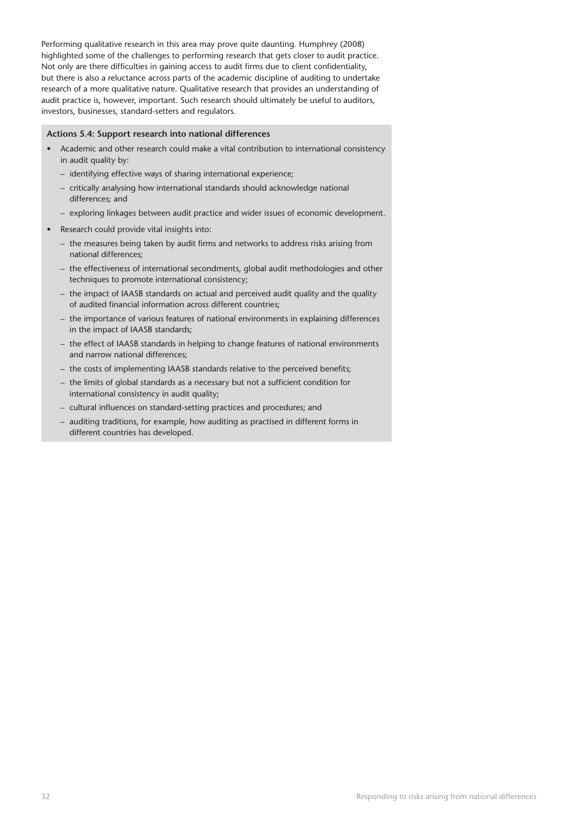Performing qualitative research in this area may prove quite daunting. Humphrey (2008) highlighted some of the challenges to performing research that gets closer to audit practice. Not only are there difficulties in gaining access to audit firms due to client confidentiality, but there is also a reluctance across parts of the academic discipline of auditing to undertake research of a more qualitative nature. Qualitative research that provides an understanding of audit practice is, however, important. Such research should ultimately be useful to auditors, investors, businesses, standard-setters and regulators.

#### **Actions 5.4: Support research into national differences**

- Academic and other research could make a vital contribution to international consistency in audit quality by:
	- identifying effective ways of sharing international experience;
	- critically analysing how international standards should acknowledge national differences; and
	- exploring linkages between audit practice and wider issues of economic development.
- Research could provide vital insights into:
	- the measures being taken by audit firms and networks to address risks arising from national differences;
	- the effectiveness of international secondments, global audit methodologies and other techniques to promote international consistency;
	- the impact of IAASB standards on actual and perceived audit quality and the quality of audited financial information across different countries;
	- the importance of various features of national environments in explaining differences in the impact of IAASB standards;
	- the effect of IAASB standards in helping to change features of national environments and narrow national differences;
	- the costs of implementing IAASB standards relative to the perceived benefits;
	- the limits of global standards as a necessary but not a sufficient condition for international consistency in audit quality;
	- cultural influences on standard-setting practices and procedures; and
	- auditing traditions, for example, how auditing as practised in different forms in different countries has developed.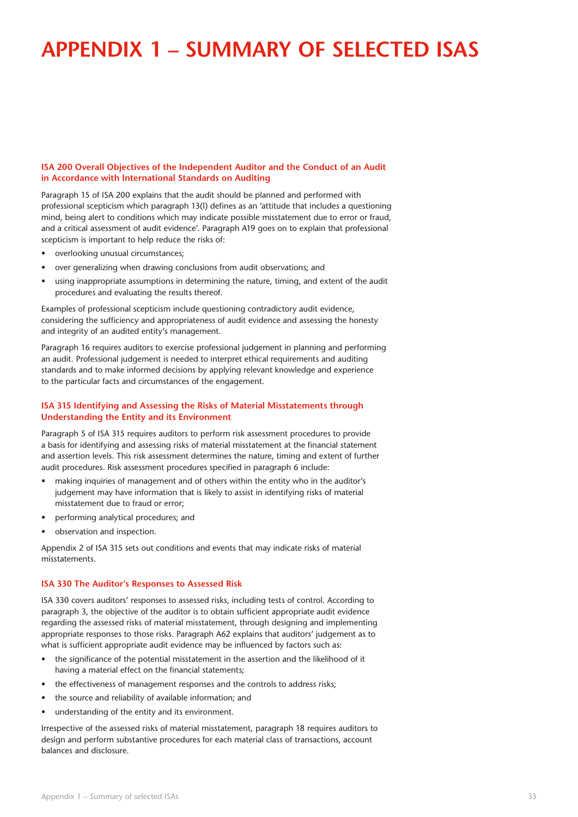## **Appendix 1 – Summary of selected ISAs**

#### **ISA 200 Overall Objectives of the Independent Auditor and the Conduct of an Audit in Accordance with International Standards on Auditing**

Paragraph 15 of ISA 200 explains that the audit should be planned and performed with professional scepticism which paragraph 13(l) defines as an 'attitude that includes a questioning mind, being alert to conditions which may indicate possible misstatement due to error or fraud, and a critical assessment of audit evidence'. Paragraph A19 goes on to explain that professional scepticism is important to help reduce the risks of:

- overlooking unusual circumstances;
- over generalizing when drawing conclusions from audit observations; and
- using inappropriate assumptions in determining the nature, timing, and extent of the audit procedures and evaluating the results thereof.

Examples of professional scepticism include questioning contradictory audit evidence, considering the sufficiency and appropriateness of audit evidence and assessing the honesty and integrity of an audited entity's management.

Paragraph 16 requires auditors to exercise professional judgement in planning and performing an audit. Professional judgement is needed to interpret ethical requirements and auditing standards and to make informed decisions by applying relevant knowledge and experience to the particular facts and circumstances of the engagement.

#### **ISA 315 Identifying and Assessing the Risks of Material Misstatements through Understanding the Entity and its Environment**

Paragraph 5 of ISA 315 requires auditors to perform risk assessment procedures to provide a basis for identifying and assessing risks of material misstatement at the financial statement and assertion levels. This risk assessment determines the nature, timing and extent of further audit procedures. Risk assessment procedures specified in paragraph 6 include:

- making inquiries of management and of others within the entity who in the auditor's judgement may have information that is likely to assist in identifying risks of material misstatement due to fraud or error;
- performing analytical procedures; and
- observation and inspection.

Appendix 2 of ISA 315 sets out conditions and events that may indicate risks of material misstatements.

#### **ISA 330 The Auditor's Responses to Assessed Risk**

ISA 330 covers auditors' responses to assessed risks, including tests of control. According to paragraph 3, the objective of the auditor is to obtain sufficient appropriate audit evidence regarding the assessed risks of material misstatement, through designing and implementing appropriate responses to those risks. Paragraph A62 explains that auditors' judgement as to what is sufficient appropriate audit evidence may be influenced by factors such as:

- the significance of the potential misstatement in the assertion and the likelihood of it having a material effect on the financial statements;
- the effectiveness of management responses and the controls to address risks;
- the source and reliability of available information; and
- understanding of the entity and its environment.

Irrespective of the assessed risks of material misstatement, paragraph 18 requires auditors to design and perform substantive procedures for each material class of transactions, account balances and disclosure.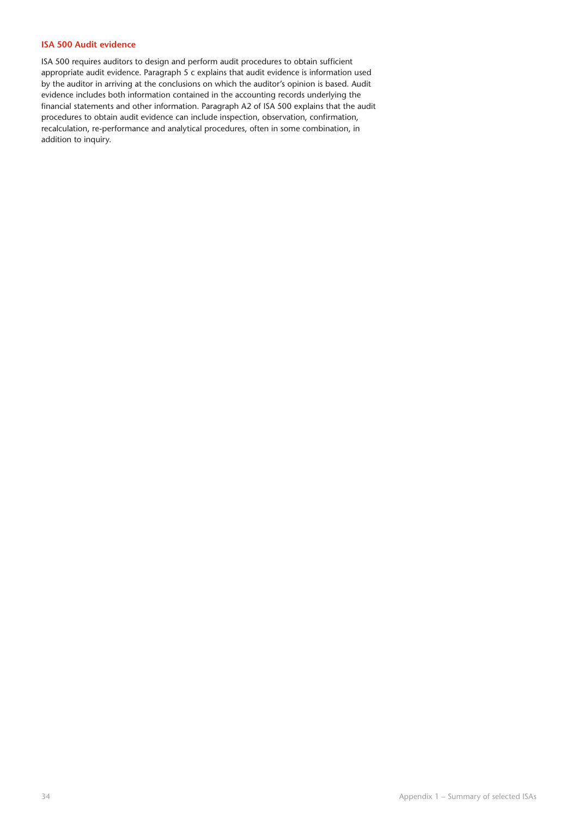#### **ISA 500 Audit evidence**

ISA 500 requires auditors to design and perform audit procedures to obtain sufficient appropriate audit evidence. Paragraph 5 c explains that audit evidence is information used by the auditor in arriving at the conclusions on which the auditor's opinion is based. Audit evidence includes both information contained in the accounting records underlying the financial statements and other information. Paragraph A2 of ISA 500 explains that the audit procedures to obtain audit evidence can include inspection, observation, confirmation, recalculation, re-performance and analytical procedures, often in some combination, in addition to inquiry.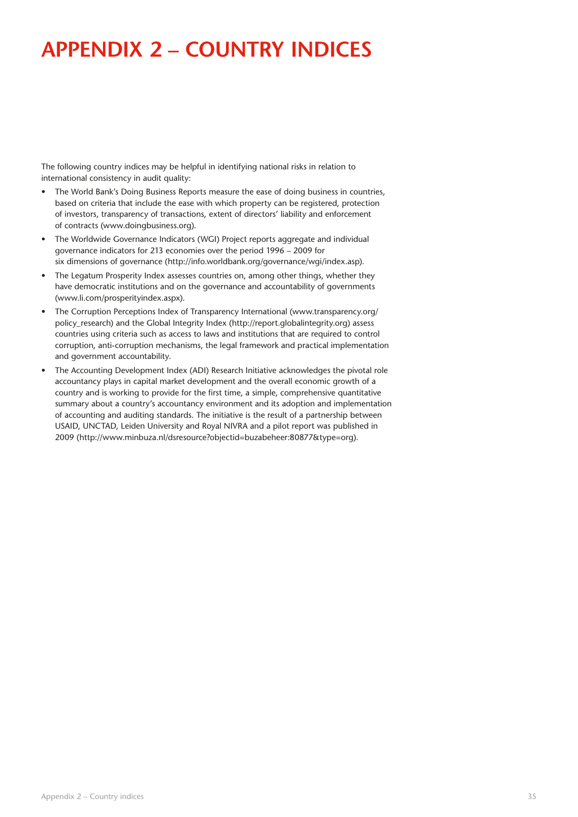# **Appendix 2 – Country indices**

The following country indices may be helpful in identifying national risks in relation to international consistency in audit quality:

- The World Bank's Doing Business Reports measure the ease of doing business in countries, based on criteria that include the ease with which property can be registered, protection of investors, transparency of transactions, extent of directors' liability and enforcement of contracts (www.doingbusiness.org).
- The Worldwide Governance Indicators (WGI) Project reports aggregate and individual governance indicators for 213 economies over the period 1996 – 2009 for six dimensions of governance (http://info.worldbank.org/governance/wgi/index.asp).
- The Legatum Prosperity Index assesses countries on, among other things, whether they have democratic institutions and on the governance and accountability of governments (www.li.com/prosperityindex.aspx).
- The Corruption Perceptions Index of Transparency International (www.transparency.org/ policy\_research) and the Global Integrity Index (http://report.globalintegrity.org) assess countries using criteria such as access to laws and institutions that are required to control corruption, anti-corruption mechanisms, the legal framework and practical implementation and government accountability.
- The Accounting Development Index (ADI) Research Initiative acknowledges the pivotal role accountancy plays in capital market development and the overall economic growth of a country and is working to provide for the first time, a simple, comprehensive quantitative summary about a country's accountancy environment and its adoption and implementation of accounting and auditing standards. The initiative is the result of a partnership between USAID, UNCTAD, Leiden University and Royal NIVRA and a pilot report was published in 2009 (http://www.minbuza.nl/dsresource?objectid=buzabeheer:80877&type=org).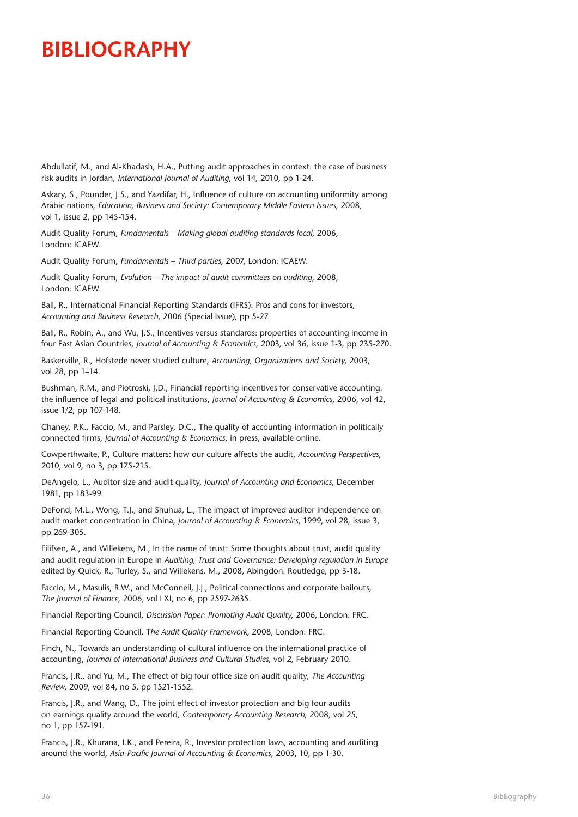## **Bibliography**

Abdullatif, M., and Al-Khadash, H.A., Putting audit approaches in context: the case of business risk audits in Jordan, *International Journal of Auditing*, vol 14, 2010, pp 1-24.

Askary, S., Pounder, J.S., and Yazdifar, H., Influence of culture on accounting uniformity among Arabic nations, *Education, Business and Society: Contemporary Middle Eastern Issues*, 2008, vol 1, issue 2, pp 145-154.

Audit Quality Forum, *Fundamentals – Making global auditing standards local*, 2006, London: ICAEW.

Audit Quality Forum, *Fundamentals – Third parties*, 2007, London: ICAEW.

Audit Quality Forum, *Evolution – The impact of audit committees on auditing*, 2008, London: ICAEW.

Ball, R., International Financial Reporting Standards (IFRS): Pros and cons for investors, *Accounting and Business Research*, 2006 (Special Issue), pp 5-27.

Ball, R., Robin, A., and Wu, J.S., Incentives versus standards: properties of accounting income in four East Asian Countries, *Journal of Accounting & Economics*, 2003, vol 36, issue 1-3, pp 235-270.

Baskerville, R., Hofstede never studied culture, *Accounting, Organizations and Society*, 2003, vol 28, pp 1–14.

Bushman, R.M., and Piotroski, J.D., Financial reporting incentives for conservative accounting: the influence of legal and political institutions, *Journal of Accounting & Economics*, 2006, vol 42, issue 1/2, pp 107-148.

Chaney, P.K., Faccio, M., and Parsley, D.C., The quality of accounting information in politically connected firms, *Journal of Accounting & Economics*, in press, available online.

Cowperthwaite, P., Culture matters: how our culture affects the audit, *Accounting Perspectives*, 2010, vol 9, no 3, pp 175-215.

DeAngelo, L., Auditor size and audit quality, *Journal of Accounting and Economics*, December 1981, pp 183-99.

DeFond, M.L., Wong, T.J., and Shuhua, L., The impact of improved auditor independence on audit market concentration in China, *Journal of Accounting & Economics*, 1999, vol 28, issue 3, pp 269-305.

Eilifsen, A., and Willekens, M., In the name of trust: Some thoughts about trust, audit quality and audit regulation in Europe in *Auditing, Trust and Governance: Developing regulation in Europe* edited by Quick, R., Turley, S., and Willekens, M., 2008, Abingdon: Routledge, pp 3-18.

Faccio, M., Masulis, R.W., and McConnell, J.J., Political connections and corporate bailouts, *The Journal of Finance*, 2006, vol LXI, no 6, pp 2597-2635.

Financial Reporting Council, *Discussion Paper: Promoting Audit Quality*, 2006, London: FRC.

Financial Reporting Council, T*he Audit Quality Framework*, 2008, London: FRC.

Finch, N., Towards an understanding of cultural influence on the international practice of accounting, *Journal of International Business and Cultural Studies*, vol 2, February 2010.

Francis, J.R., and Yu, M., The effect of big four office size on audit quality, *The Accounting Review*, 2009, vol 84, no 5, pp 1521-1552.

Francis, J.R., and Wang, D., The joint effect of investor protection and big four audits on earnings quality around the world, *Contemporary Accounting Research*, 2008, vol 25, no 1, pp 157-191.

Francis, J.R., Khurana, I.K., and Pereira, R., Investor protection laws, accounting and auditing around the world, *Asia-Pacific Journal of Accounting & Economics*, 2003, 10, pp 1-30.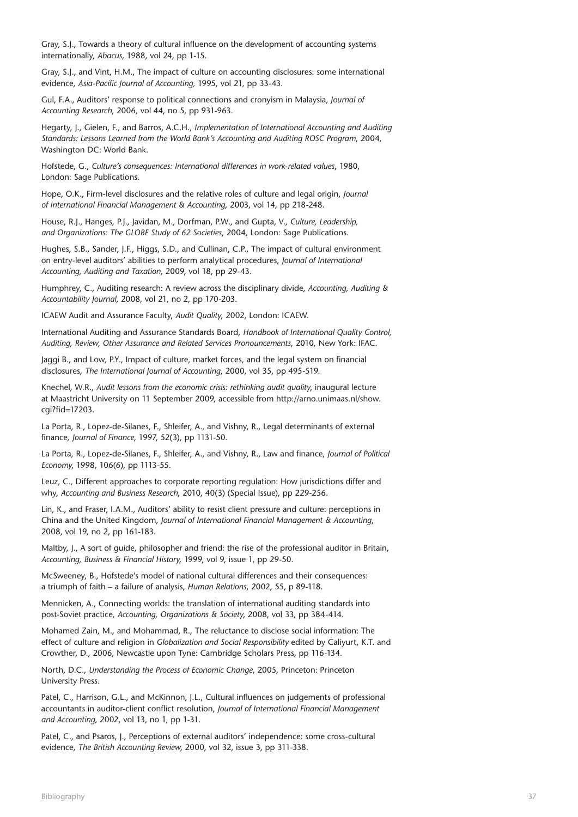Gray, S.J., Towards a theory of cultural influence on the development of accounting systems internationally, *Abacus*, 1988, vol 24, pp 1-15.

Gray, S.J., and Vint, H.M., The impact of culture on accounting disclosures: some international evidence, *Asia-Pacific Journal of Accounting,* 1995, vol 21, pp 33-43.

Gul, F.A., Auditors' response to political connections and cronyism in Malaysia, *Journal of Accounting Research*, 2006, vol 44, no 5, pp 931-963.

Hegarty, J., Gielen, F., and Barros, A.C.H., *Implementation of International Accounting and Auditing Standards: Lessons Learned from the World Bank's Accounting and Auditing ROSC Program*, 2004, Washington DC: World Bank.

Hofstede, G., *Culture's consequences: International differences in work-related values*, 1980, London: Sage Publications.

Hope, O.K., Firm-level disclosures and the relative roles of culture and legal origin, *Journal of International Financial Management & Accounting*, 2003, vol 14, pp 218-248.

House, R.J., Hanges, P.J., Javidan, M., Dorfman, P.W., and Gupta, V., *Culture, Leadership, and Organizations: The GLOBE Study of 62 Societies*, 2004, London: Sage Publications.

Hughes, S.B., Sander, J.F., Higgs, S.D., and Cullinan, C.P., The impact of cultural environment on entry-level auditors' abilities to perform analytical procedures, *Journal of International Accounting, Auditing and Taxation*, 2009, vol 18, pp 29-43.

Humphrey, C., Auditing research: A review across the disciplinary divide, *Accounting, Auditing & Accountability Journal*, 2008, vol 21, no 2, pp 170-203.

ICAEW Audit and Assurance Faculty, *Audit Quality*, 2002, London: ICAEW.

International Auditing and Assurance Standards Board, *Handbook of International Quality Control, Auditing, Review, Other Assurance and Related Services Pronouncements*, 2010, New York: IFAC.

Jaggi B., and Low, P.Y., Impact of culture, market forces, and the legal system on financial disclosures, *The International Journal of Accounting*, 2000, vol 35, pp 495-519.

Knechel, W.R., *Audit lessons from the economic crisis: rethinking audit quality*, inaugural lecture at Maastricht University on 11 September 2009, accessible from http://arno.unimaas.nl/show. cgi?fid=17203.

La Porta, R., Lopez-de-Silanes, F., Shleifer, A., and Vishny, R., Legal determinants of external finance, *Journal of Finance*, 1997, 52(3), pp 1131-50.

La Porta, R., Lopez-de-Silanes, F., Shleifer, A., and Vishny, R., Law and finance, *Journal of Political Economy*, 1998, 106(6), pp 1113-55.

Leuz, C., Different approaches to corporate reporting regulation: How jurisdictions differ and why, *Accounting and Business Research*, 2010, 40(3) (Special Issue), pp 229-256.

Lin, K., and Fraser, I.A.M., Auditors' ability to resist client pressure and culture: perceptions in China and the United Kingdom, *Journal of International Financial Management & Accounting*, 2008, vol 19, no 2, pp 161-183.

Maltby, I., A sort of quide, philosopher and friend: the rise of the professional auditor in Britain, *Accounting, Business & Financial History,* 1999, vol 9, issue 1, pp 29-50.

McSweeney, B., Hofstede's model of national cultural differences and their consequences: a triumph of faith – a failure of analysis, *Human Relations*, 2002, 55, p 89-118.

Mennicken, A., Connecting worlds: the translation of international auditing standards into post-Soviet practice, *Accounting, Organizations & Society*, 2008, vol 33, pp 384-414.

Mohamed Zain, M., and Mohammad, R., The reluctance to disclose social information: The effect of culture and religion in *Globalization and Social Responsibility* edited by Caliyurt, K.T. and Crowther, D., 2006, Newcastle upon Tyne: Cambridge Scholars Press, pp 116-134.

North, D.C., *Understanding the Process of Economic Change*, 2005, Princeton: Princeton University Press.

Patel, C., Harrison, G.L., and McKinnon, J.L., Cultural influences on judgements of professional accountants in auditor-client conflict resolution, *Journal of International Financial Management and Accounting,* 2002, vol 13, no 1, pp 1-31.

Patel, C., and Psaros, J., Perceptions of external auditors' independence: some cross-cultural evidence, *The British Accounting Review*, 2000, vol 32, issue 3, pp 311-338.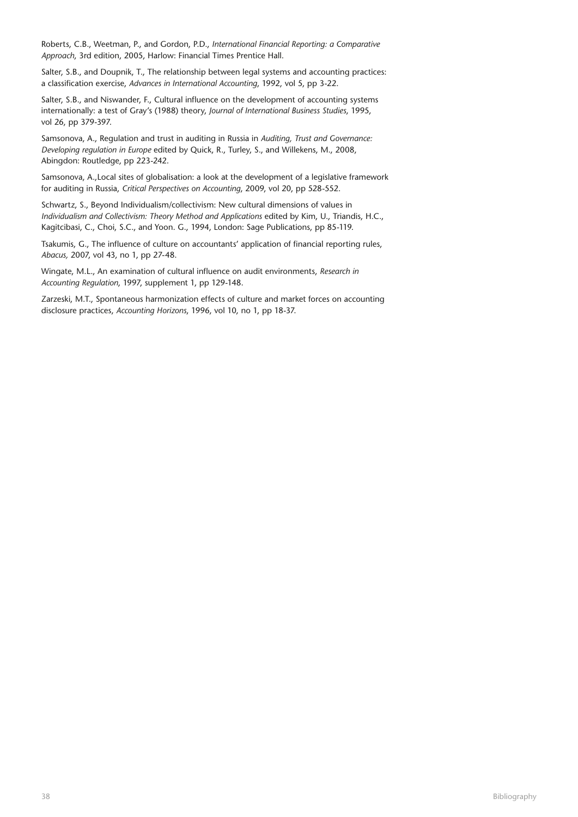Roberts, C.B., Weetman, P., and Gordon, P.D., *International Financial Reporting: a Comparative Approach*, 3rd edition, 2005, Harlow: Financial Times Prentice Hall.

Salter, S.B., and Doupnik, T., The relationship between legal systems and accounting practices: a classification exercise, *Advances in International Accounting*, 1992, vol 5, pp 3-22.

Salter, S.B., and Niswander, F., Cultural influence on the development of accounting systems internationally: a test of Gray's (1988) theory, *Journal of International Business Studies*, 1995, vol 26, pp 379-397.

Samsonova, A., Regulation and trust in auditing in Russia in *Auditing, Trust and Governance: Developing regulation in Europe* edited by Quick, R., Turley, S., and Willekens, M., 2008, Abingdon: Routledge, pp 223-242.

Samsonova, A.,Local sites of globalisation: a look at the development of a legislative framework for auditing in Russia, *Critical Perspectives on Accounting*, 2009, vol 20, pp 528-552.

Schwartz, S., Beyond Individualism/collectivism: New cultural dimensions of values in *Individualism and Collectivism: Theory Method and Applications* edited by Kim, U., Triandis, H.C., Kagitcibasi, C., Choi, S.C., and Yoon. G., 1994, London: Sage Publications, pp 85-119.

Tsakumis, G., The influence of culture on accountants' application of financial reporting rules, *Abacus,* 2007, vol 43, no 1, pp 27-48.

Wingate, M.L., An examination of cultural influence on audit environments, *Research in Accounting Regulation*, 1997, supplement 1, pp 129-148.

Zarzeski, M.T., Spontaneous harmonization effects of culture and market forces on accounting disclosure practices, *Accounting Horizons*, 1996, vol 10, no 1, pp 18-37.